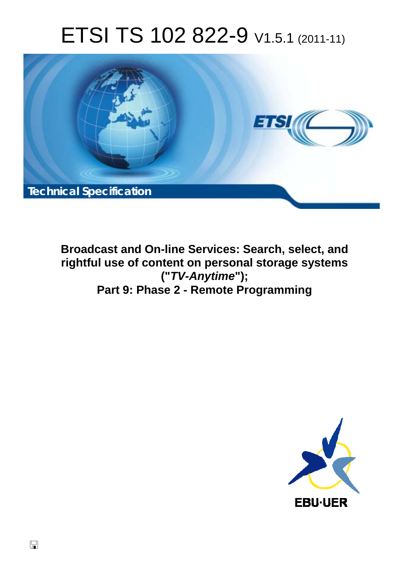# ETSI TS 102 822-9 V1.5.1 (2011-11)



**Broadcast and On-line Services: Search, select, and rightful use of content on personal storage systems ("***TV-Anytime***"); Part 9: Phase 2 - Remote Programming** 

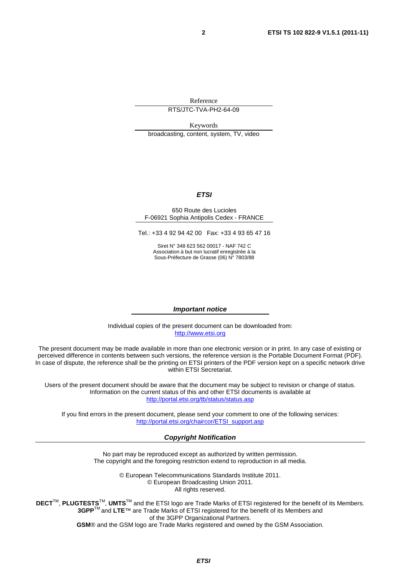Reference

RTS/JTC-TVA-PH2-64-09

Keywords broadcasting, content, system, TV, video

#### *ETSI*

#### 650 Route des Lucioles F-06921 Sophia Antipolis Cedex - FRANCE

Tel.: +33 4 92 94 42 00 Fax: +33 4 93 65 47 16

Siret N° 348 623 562 00017 - NAF 742 C Association à but non lucratif enregistrée à la Sous-Préfecture de Grasse (06) N° 7803/88

#### *Important notice*

Individual copies of the present document can be downloaded from: [http://www.etsi.org](http://www.etsi.org/)

The present document may be made available in more than one electronic version or in print. In any case of existing or perceived difference in contents between such versions, the reference version is the Portable Document Format (PDF). In case of dispute, the reference shall be the printing on ETSI printers of the PDF version kept on a specific network drive within ETSI Secretariat.

Users of the present document should be aware that the document may be subject to revision or change of status. Information on the current status of this and other ETSI documents is available at <http://portal.etsi.org/tb/status/status.asp>

If you find errors in the present document, please send your comment to one of the following services: [http://portal.etsi.org/chaircor/ETSI\\_support.asp](http://portal.etsi.org/chaircor/ETSI_support.asp)

#### *Copyright Notification*

No part may be reproduced except as authorized by written permission. The copyright and the foregoing restriction extend to reproduction in all media.

> © European Telecommunications Standards Institute 2011. © European Broadcasting Union 2011. All rights reserved.

**DECT**TM, **PLUGTESTS**TM, **UMTS**TM and the ETSI logo are Trade Marks of ETSI registered for the benefit of its Members. **3GPP**TM and **LTE**™ are Trade Marks of ETSI registered for the benefit of its Members and of the 3GPP Organizational Partners. **GSM**® and the GSM logo are Trade Marks registered and owned by the GSM Association.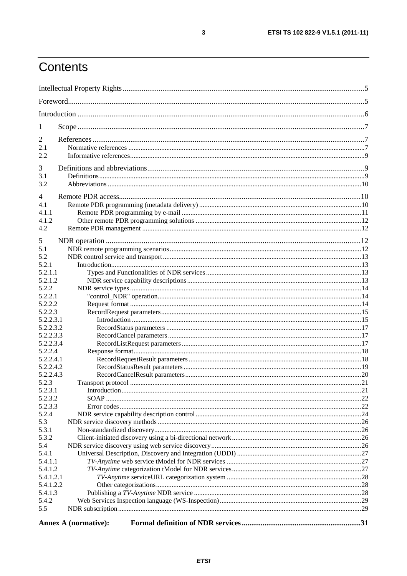# Contents

| 1                  |                             |  |
|--------------------|-----------------------------|--|
| 2                  |                             |  |
| 2.1                |                             |  |
| 2.2                |                             |  |
|                    |                             |  |
| 3                  |                             |  |
| 3.1                |                             |  |
| 3.2                |                             |  |
| $\overline{4}$     |                             |  |
| 4.1                |                             |  |
| 4.1.1              |                             |  |
| 4.1.2              |                             |  |
| 4.2                |                             |  |
| 5                  |                             |  |
| 5.1                |                             |  |
| 5.2                |                             |  |
| 5.2.1              |                             |  |
| 5.2.1.1            |                             |  |
| 5.2.1.2            |                             |  |
| 5.2.2              |                             |  |
| 5.2.2.1            |                             |  |
| 5.2.2.2            |                             |  |
| 5.2.2.3            |                             |  |
| 5.2.2.3.1          |                             |  |
| 5.2.2.3.2          |                             |  |
| 5.2.2.3.3          |                             |  |
| 5.2.2.3.4          |                             |  |
| 5.2.2.4            |                             |  |
| 5.2.2.4.1          |                             |  |
| 5.2.2.4.2          |                             |  |
| 5.2.2.4.3          |                             |  |
| 5.2.3              |                             |  |
| 5.2.3.1<br>5.2.3.2 |                             |  |
| 5.2.3.3            |                             |  |
| 5.2.4              |                             |  |
| 5.3                |                             |  |
| 5.3.1              |                             |  |
| 5.3.2              |                             |  |
| 5.4                |                             |  |
| 5.4.1              |                             |  |
| 5.4.1.1            |                             |  |
| 5.4.1.2            |                             |  |
| 5.4.1.2.1          |                             |  |
| 5.4.1.2.2          |                             |  |
| 5.4.1.3            |                             |  |
| 5.4.2              |                             |  |
| 5.5                |                             |  |
|                    |                             |  |
|                    | <b>Annex A (normative):</b> |  |

 $\mathbf{3}$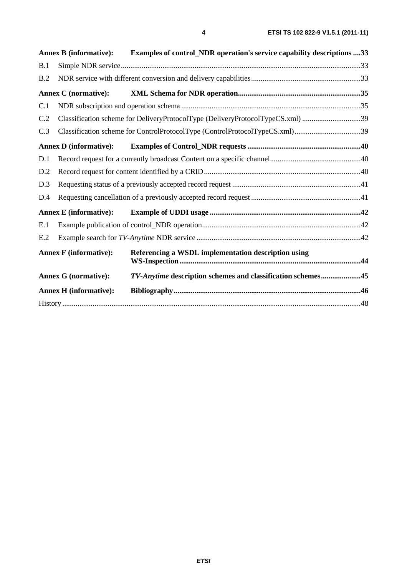|     | <b>Annex B</b> (informative): | Examples of control_NDR operation's service capability descriptions 33         |  |
|-----|-------------------------------|--------------------------------------------------------------------------------|--|
| B.1 |                               |                                                                                |  |
| B.2 |                               |                                                                                |  |
|     | <b>Annex C</b> (normative):   |                                                                                |  |
| C.1 |                               |                                                                                |  |
| C.2 |                               | Classification scheme for DeliveryProtocolType (DeliveryProtocolTypeCS.xml) 39 |  |
| C.3 |                               | Classification scheme for ControlProtocolType (ControlProtocolTypeCS.xml)39    |  |
|     | <b>Annex D</b> (informative): |                                                                                |  |
| D.1 |                               |                                                                                |  |
| D.2 |                               |                                                                                |  |
| D.3 |                               |                                                                                |  |
| D.4 |                               |                                                                                |  |
|     | <b>Annex E</b> (informative): |                                                                                |  |
| E.1 |                               |                                                                                |  |
| E.2 |                               |                                                                                |  |
|     | <b>Annex F</b> (informative): | Referencing a WSDL implementation description using                            |  |
|     | <b>Annex G (normative):</b>   | TV-Anytime description schemes and classification schemes45                    |  |
|     | <b>Annex H</b> (informative): |                                                                                |  |
|     |                               |                                                                                |  |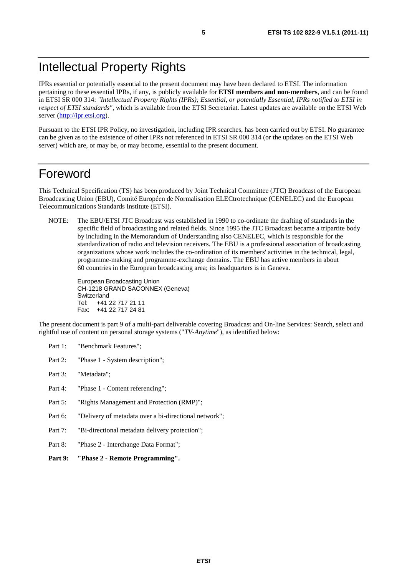# Intellectual Property Rights

IPRs essential or potentially essential to the present document may have been declared to ETSI. The information pertaining to these essential IPRs, if any, is publicly available for **ETSI members and non-members**, and can be found in ETSI SR 000 314: *"Intellectual Property Rights (IPRs); Essential, or potentially Essential, IPRs notified to ETSI in respect of ETSI standards"*, which is available from the ETSI Secretariat. Latest updates are available on the ETSI Web server [\(http://ipr.etsi.org](http://webapp.etsi.org/IPR/home.asp)).

Pursuant to the ETSI IPR Policy, no investigation, including IPR searches, has been carried out by ETSI. No guarantee can be given as to the existence of other IPRs not referenced in ETSI SR 000 314 (or the updates on the ETSI Web server) which are, or may be, or may become, essential to the present document.

### Foreword

This Technical Specification (TS) has been produced by Joint Technical Committee (JTC) Broadcast of the European Broadcasting Union (EBU), Comité Européen de Normalisation ELECtrotechnique (CENELEC) and the European Telecommunications Standards Institute (ETSI).

NOTE: The EBU/ETSI JTC Broadcast was established in 1990 to co-ordinate the drafting of standards in the specific field of broadcasting and related fields. Since 1995 the JTC Broadcast became a tripartite body by including in the Memorandum of Understanding also CENELEC, which is responsible for the standardization of radio and television receivers. The EBU is a professional association of broadcasting organizations whose work includes the co-ordination of its members' activities in the technical, legal, programme-making and programme-exchange domains. The EBU has active members in about 60 countries in the European broadcasting area; its headquarters is in Geneva.

European Broadcasting Union CH-1218 GRAND SACONNEX (Geneva) Switzerland Tel: +41 22 717 21 11 Fax: +41 22 717 24 81

The present document is part 9 of a multi-part deliverable covering Broadcast and On-line Services: Search, select and rightful use of content on personal storage systems ("*TV-Anytime*"), as identified below:

- Part 1: "Benchmark Features";
- Part 2: "Phase 1 System description";
- Part 3: "Metadata";
- Part 4: "Phase 1 Content referencing":
- Part 5: "Rights Management and Protection (RMP)";
- Part 6: "Delivery of metadata over a bi-directional network";
- Part 7: "Bi-directional metadata delivery protection";
- Part 8: "Phase 2 Interchange Data Format";
- **Part 9: "Phase 2 Remote Programming".**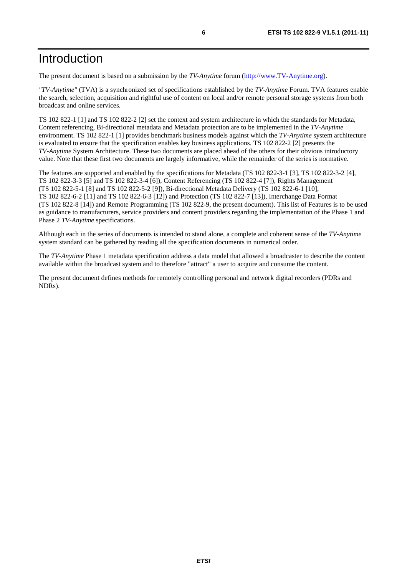### Introduction

The present document is based on a submission by the *TV-Anytime* forum [\(http://www.TV-Anytime.org](http://www.tv-anytime.org/)).

*"TV-Anytime"* (TVA) is a synchronized set of specifications established by the *TV-Anytime* Forum. TVA features enable the search, selection, acquisition and rightful use of content on local and/or remote personal storage systems from both broadcast and online services.

TS 102 822-1 [1] and TS 102 822-2 [2] set the context and system architecture in which the standards for Metadata, Content referencing, Bi-directional metadata and Metadata protection are to be implemented in the *TV-Anytime* environment. TS 102 822-1 [1] provides benchmark business models against which the *TV-Anytime* system architecture is evaluated to ensure that the specification enables key business applications. TS 102 822-2 [2] presents the *TV-Anytime* System Architecture. These two documents are placed ahead of the others for their obvious introductory value. Note that these first two documents are largely informative, while the remainder of the series is normative.

The features are supported and enabled by the specifications for Metadata (TS 102 822-3-1 [3], TS 102 822-3-2 [4], TS 102 822-3-3 [5] and TS 102 822-3-4 [6]), Content Referencing (TS 102 822-4 [7]), Rights Management (TS 102 822-5-1 [8] and TS 102 822-5-2 [9]), Bi-directional Metadata Delivery (TS 102 822-6-1 [10], TS 102 822-6-2 [11] and TS 102 822-6-3 [12]) and Protection (TS 102 822-7 [13]), Interchange Data Format (TS 102 822-8 [14]) and Remote Programming (TS 102 822-9, the present document). This list of Features is to be used as guidance to manufacturers, service providers and content providers regarding the implementation of the Phase 1 and Phase 2 *TV-Anytime* specifications.

Although each in the series of documents is intended to stand alone, a complete and coherent sense of the *TV-Anytime* system standard can be gathered by reading all the specification documents in numerical order.

The *TV-Anytime* Phase 1 metadata specification address a data model that allowed a broadcaster to describe the content available within the broadcast system and to therefore "attract" a user to acquire and consume the content.

The present document defines methods for remotely controlling personal and network digital recorders (PDRs and NDRs).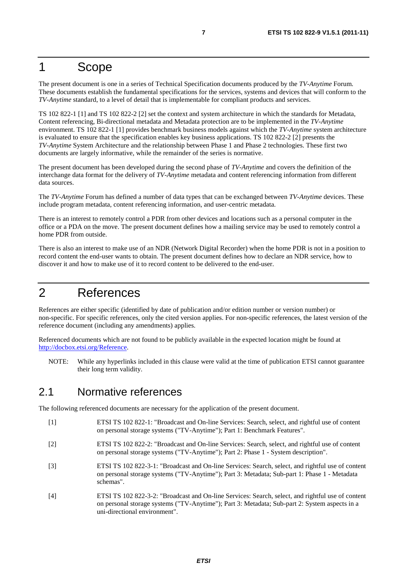### 1 Scope

The present document is one in a series of Technical Specification documents produced by the *TV-Anytime* Forum. These documents establish the fundamental specifications for the services, systems and devices that will conform to the *TV-Anytime* standard, to a level of detail that is implementable for compliant products and services.

TS 102 822-1 [1] and TS 102 822-2 [2] set the context and system architecture in which the standards for Metadata, Content referencing, Bi-directional metadata and Metadata protection are to be implemented in the *TV-Anytime* environment. TS 102 822-1 [1] provides benchmark business models against which the *TV-Anytime* system architecture is evaluated to ensure that the specification enables key business applications. TS 102 822-2 [2] presents the *TV-Anytime* System Architecture and the relationship between Phase 1 and Phase 2 technologies. These first two documents are largely informative, while the remainder of the series is normative.

The present document has been developed during the second phase of *TV-Anytime* and covers the definition of the interchange data format for the delivery of *TV-Anytime* metadata and content referencing information from different data sources.

The *TV-Anytime* Forum has defined a number of data types that can be exchanged between *TV-Anytime* devices. These include program metadata, content referencing information, and user-centric metadata.

There is an interest to remotely control a PDR from other devices and locations such as a personal computer in the office or a PDA on the move. The present document defines how a mailing service may be used to remotely control a home PDR from outside.

There is also an interest to make use of an NDR (Network Digital Recorder) when the home PDR is not in a position to record content the end-user wants to obtain. The present document defines how to declare an NDR service, how to discover it and how to make use of it to record content to be delivered to the end-user.

### 2 References

References are either specific (identified by date of publication and/or edition number or version number) or non-specific. For specific references, only the cited version applies. For non-specific references, the latest version of the reference document (including any amendments) applies.

Referenced documents which are not found to be publicly available in the expected location might be found at [http://docbox.etsi.org/Reference.](http://docbox.etsi.org/Reference)

NOTE: While any hyperlinks included in this clause were valid at the time of publication ETSI cannot guarantee their long term validity.

### 2.1 Normative references

The following referenced documents are necessary for the application of the present document.

- [1] ETSI TS 102 822-1: "Broadcast and On-line Services: Search, select, and rightful use of content on personal storage systems ("TV-Anytime"); Part 1: Benchmark Features".
- [2] ETSI TS 102 822-2: "Broadcast and On-line Services: Search, select, and rightful use of content on personal storage systems ("TV-Anytime"); Part 2: Phase 1 - System description".
- [3] ETSI TS 102 822-3-1: "Broadcast and On-line Services: Search, select, and rightful use of content on personal storage systems ("TV-Anytime"); Part 3: Metadata; Sub-part 1: Phase 1 - Metadata schemas".
- [4] ETSI TS 102 822-3-2: "Broadcast and On-line Services: Search, select, and rightful use of content on personal storage systems ("TV-Anytime"); Part 3: Metadata; Sub-part 2: System aspects in a uni-directional environment".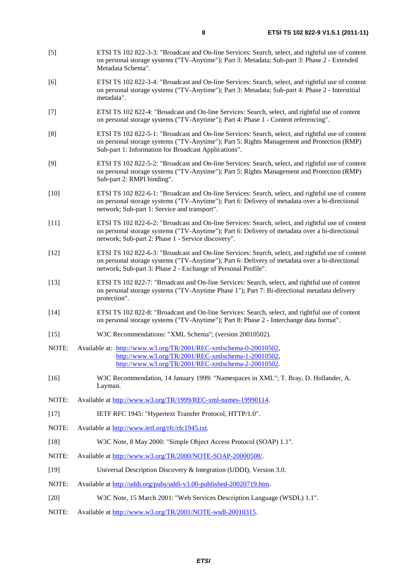- [5] ETSI TS 102 822-3-3: "Broadcast and On-line Services: Search, select, and rightful use of content on personal storage systems ("TV-Anytime"); Part 3: Metadata; Sub-part 3: Phase 2 - Extended Metadata Schema".
- [6] ETSI TS 102 822-3-4: "Broadcast and On-line Services: Search, select, and rightful use of content on personal storage systems ("TV-Anytime"); Part 3: Metadata; Sub-part 4: Phase 2 - Interstitial metadata".
- [7] ETSI TS 102 822-4: "Broadcast and On-line Services: Search, select, and rightful use of content on personal storage systems ("TV-Anytime"); Part 4: Phase 1 - Content referencing".
- [8] ETSI TS 102 822-5-1: "Broadcast and On-line Services: Search, select, and rightful use of content on personal storage systems ("TV-Anytime"); Part 5: Rights Management and Protection (RMP) Sub-part 1: Information for Broadcast Applications".
- [9] ETSI TS 102 822-5-2: "Broadcast and On-line Services: Search, select, and rightful use of content on personal storage systems ("TV-Anytime"); Part 5: Rights Management and Protection (RMP) Sub-part 2: RMPI binding".
- [10] ETSI TS 102 822-6-1: "Broadcast and On-line Services: Search, select, and rightful use of content on personal storage systems ("TV-Anytime"); Part 6: Delivery of metadata over a bi-directional network; Sub-part 1: Service and transport".
- [11] ETSI TS 102 822-6-2: "Broadcast and On-line Services: Search, select, and rightful use of content on personal storage systems ("TV-Anytime"); Part 6: Delivery of metadata over a bi-directional network; Sub-part 2: Phase 1 - Service discovery".
- [12] ETSI TS 102 822-6-3: "Broadcast and On-line Services: Search, select, and rightful use of content on personal storage systems ("TV-Anytime"); Part 6: Delivery of metadata over a bi-directional network; Sub-part 3: Phase 2 - Exchange of Personal Profile".
- [13] ETSI TS 102 822-7: "Broadcast and On-line Services: Search, select, and rightful use of content on personal storage systems ("TV-Anytime Phase 1"); Part 7: Bi-directional metadata delivery protection".
- [14] ETSI TS 102 822-8: "Broadcast and On-line Services: Search, select, and rightful use of content on personal storage systems ("TV-Anytime"); Part 8: Phase 2 - Interchange data format".
- [15] W3C Recommendations: "XML Schema"; (version 20010502).
- NOTE: Available at: [http://www.w3.org/TR/2001/REC-xmlschema-0-20010502,](http://www.w3.org/TR/2001/REC-xmlschema-0-20010502) [http://www.w3.org/TR/2001/REC-xmlschema-1-20010502,](http://www.w3.org/TR/2001/REC-xmlschema-1-20010502) [http://www.w3.org/TR/2001/REC-xmlschema-2-20010502.](http://www.w3.org/XML/Schema)
- [16] W3C Recommendation, 14 January 1999: "Namespaces in XML"; T. Bray, D. Hollander, A. Layman.
- NOTE: Available at [http://www.w3.org/TR/1999/REC-xml-names-19990114.](http://www.w3.org/TR/1999/REC-xml-names-19990114)
- [17] IETF RFC 1945: "Hypertext Transfer Protocol, HTTP/1.0".
- NOTE: Available at [http://www.ietf.org/rfc/rfc1945.txt.](http://www.ietf.org/rfc/rfc1945.txt)
- [18] W3C Note, 8 May 2000: "Simple Object Access Protocol (SOAP) 1.1".
- NOTE: Available at<http://www.w3.org/TR/2000/NOTE-SOAP-20000508/>.
- [19] Universal Description Discovery & Integration (UDDI), Version 3.0.
- NOTE: Available at [http://uddi.org/pubs/uddi-v3.00-published-20020719.htm.](http://uddi.org/pubs/uddi-v3.00-published-20020719.htm)
- [20] W3C Note, 15 March 2001: "Web Services Description Language (WSDL) 1.1".
- NOTE: Available at<http://www.w3.org/TR/2001/NOTE-wsdl-20010315>.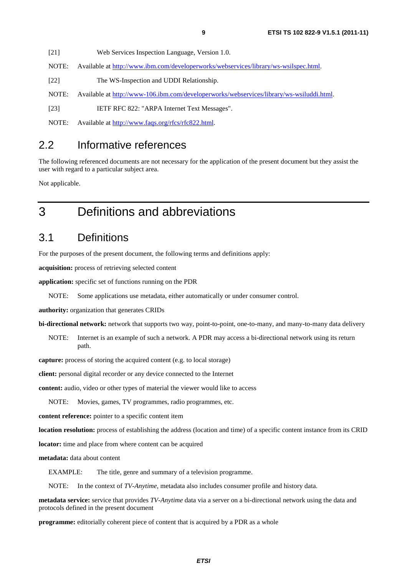[21] Web Services Inspection Language, Version 1.0.

NOTE: Available at [http://www.ibm.com/developerworks/webservices/library/ws-wsilspec.htm](http://www.ibm.com/developerworks/webservices/library/ws-wsilspec.html)l.

[22] The WS-Inspection and UDDI Relationship.

NOTE: Available at<http://www-106.ibm.com/developerworks/webservices/library/ws-wsiluddi.html>.

[23] IETF RFC 822: "ARPA Internet Text Messages".

NOTE: Available at [http://www.faqs.org/rfcs/rfc822.html.](http://www.faqs.org/rfcs/rfc822.html)

### 2.2 Informative references

The following referenced documents are not necessary for the application of the present document but they assist the user with regard to a particular subject area.

Not applicable.

### 3 Definitions and abbreviations

### 3.1 Definitions

For the purposes of the present document, the following terms and definitions apply:

**acquisition:** process of retrieving selected content

**application:** specific set of functions running on the PDR

NOTE: Some applications use metadata, either automatically or under consumer control.

**authority:** organization that generates CRIDs

**bi-directional network:** network that supports two way, point-to-point, one-to-many, and many-to-many data delivery

NOTE: Internet is an example of such a network. A PDR may access a bi-directional network using its return path.

**capture:** process of storing the acquired content (e.g. to local storage)

**client:** personal digital recorder or any device connected to the Internet

**content:** audio, video or other types of material the viewer would like to access

NOTE: Movies, games, TV programmes, radio programmes, etc.

**content reference:** pointer to a specific content item

**location resolution:** process of establishing the address (location and time) of a specific content instance from its CRID

**locator:** time and place from where content can be acquired

**metadata:** data about content

EXAMPLE: The title, genre and summary of a television programme.

NOTE: In the context of *TV-Anytime*, metadata also includes consumer profile and history data.

**metadata service:** service that provides *TV-Anytime* data via a server on a bi-directional network using the data and protocols defined in the present document

**programme:** editorially coherent piece of content that is acquired by a PDR as a whole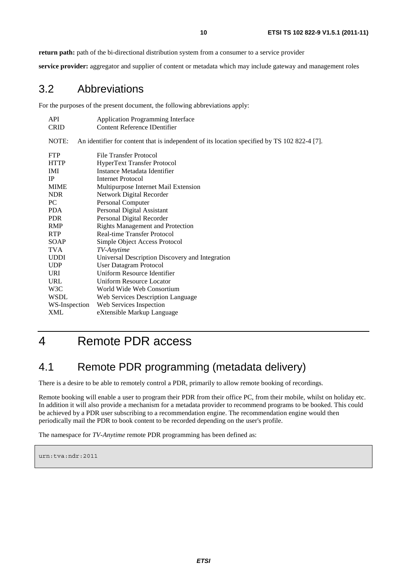**return path:** path of the bi-directional distribution system from a consumer to a service provider

**service provider:** aggregator and supplier of content or metadata which may include gateway and management roles

### 3.2 Abbreviations

For the purposes of the present document, the following abbreviations apply:

| API           | <b>Application Programming Interface</b>                                                     |
|---------------|----------------------------------------------------------------------------------------------|
| <b>CRID</b>   | Content Reference IDentifier                                                                 |
| NOTE:         | An identifier for content that is independent of its location specified by TS 102 822-4 [7]. |
| <b>FTP</b>    | File Transfer Protocol                                                                       |
| <b>HTTP</b>   | <b>HyperText Transfer Protocol</b>                                                           |
| <b>IMI</b>    | Instance Metadata Identifier                                                                 |
| <b>IP</b>     | Internet Protocol                                                                            |
| <b>MIME</b>   | Multipurpose Internet Mail Extension                                                         |
| <b>NDR</b>    | Network Digital Recorder                                                                     |
| PC            | Personal Computer                                                                            |
| PDA.          | Personal Digital Assistant                                                                   |
| <b>PDR</b>    | Personal Digital Recorder                                                                    |
| RMP           | <b>Rights Management and Protection</b>                                                      |
| <b>RTP</b>    | <b>Real-time Transfer Protocol</b>                                                           |
| SOAP          | Simple Object Access Protocol                                                                |
| TVA           | TV-Anytime                                                                                   |
| <b>UDDI</b>   | Universal Description Discovery and Integration                                              |
| <b>UDP</b>    | <b>User Datagram Protocol</b>                                                                |
| URI.          | Uniform Resource Identifier                                                                  |
| URL           | <b>Uniform Resource Locator</b>                                                              |
| W3C           | World Wide Web Consortium                                                                    |
| <b>WSDL</b>   | Web Services Description Language                                                            |
| WS-Inspection | Web Services Inspection                                                                      |
| XML           | eXtensible Markup Language                                                                   |

# 4 Remote PDR access

### 4.1 Remote PDR programming (metadata delivery)

There is a desire to be able to remotely control a PDR, primarily to allow remote booking of recordings.

Remote booking will enable a user to program their PDR from their office PC, from their mobile, whilst on holiday etc. In addition it will also provide a mechanism for a metadata provider to recommend programs to be booked. This could be achieved by a PDR user subscribing to a recommendation engine. The recommendation engine would then periodically mail the PDR to book content to be recorded depending on the user's profile.

The namespace for *TV-Anytime* remote PDR programming has been defined as:

urn:tva:ndr:2011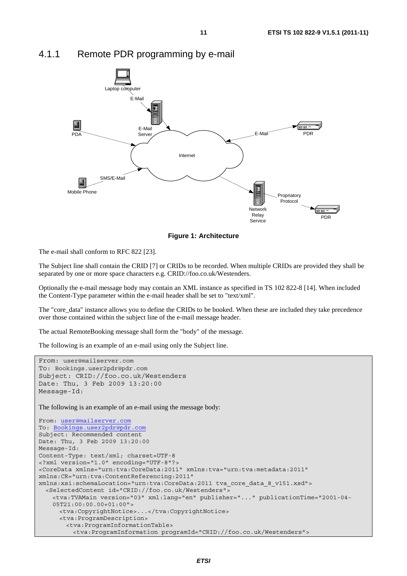

### 4.1.1 Remote PDR programming by e-mail



The e-mail shall conform to RFC 822 [23].

The Subject line shall contain the CRID [7] or CRIDs to be recorded. When multiple CRIDs are provided they shall be separated by one or more space characters e.g. CRID://foo.co.uk/Westenders.

Optionally the e-mail message body may contain an XML instance as specified in TS 102 822-8 [14]. When included the Content-Type parameter within the e-mail header shall be set to "text/xml".

The "core\_data" instance allows you to define the CRIDs to be booked. When these are included they take precedence over those contained within the subject line of the e-mail message header.

The actual RemoteBooking message shall form the "body" of the message.

The following is an example of an e-mail using only the Subject line.

```
From: user@mailserver.com
To: Bookings.user2pdr@pdr.com
Subject: CRID://foo.co.uk/Westenders 
Date: Thu, 3 Feb 2009 13:20:00 
Message-Id: 
The following is an example of an e-mail using the message body:
From: user@mailserver.com
To: Bookings.user2pdr@pdr.com
Subject: Recommended content 
Date: Thu, 3 Feb 2009 13:20:00 
Message-Id: 
Content-Type: text/xml; charset=UTF-8 
<?xml version="1.0" encoding="UTF-8"?> 
<CoreData xmlns="urn:tva:CoreData:2011" xmlns:tva="urn:tva:metadata:2011" 
xmlns:CR="urn:tva:ContentReferencing:2011" 
xmlns:xsi:schemaLocation="urn:tva:CoreData:2011 tva_core_data_8_v151.xsd"> 
   <SelectedContent id="CRID://foo.co.uk/Westenders"> 
     <tva:TVAMain version="03" xml:lang="en" publisher="..." publicationTime="2001-04- 
     05T21:00:00.00+01:00"> 
      <tva:CopyrightNotice>...</tva:CopyrightNotice> 
      <tva:ProgramDescription> 
         <tva:ProgramInformationTable> 
          <tva:ProgramInformation programId="CRID://foo.co.uk/Westenders">
```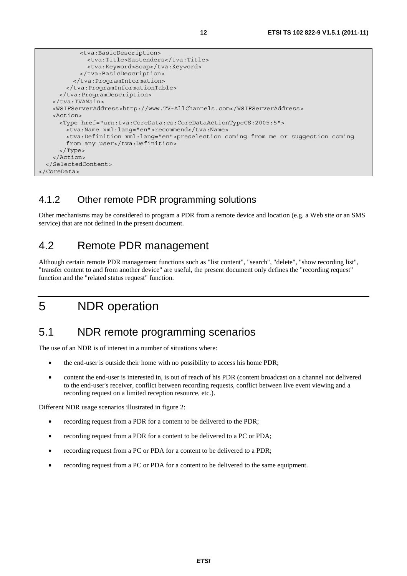```
 <tva:BasicDescription> 
              <tva:Title>Eastenders</tva:Title> 
              <tva:Keyword>Soap</tva:Keyword> 
            </tva:BasicDescription> 
          </tva:ProgramInformation> 
        </tva:ProgramInformationTable> 
      </tva:ProgramDescription> 
    </tva:TVAMain> 
    <WSIFServerAddress>http://www.TV-AllChannels.com</WSIFServerAddress> 
    <Action> 
      <Type href="urn:tva:CoreData:cs:CoreDataActionTypeCS:2005:5"> 
       <tva:Name xml:lang="en">recommend</tva:Name>
        <tva:Definition xml:lang="en">preselection coming from me or suggestion coming 
       from any user</tva:Definition>
      </Type> 
    </Action> 
  </SelectedContent> 
</CoreData>
```
### 4.1.2 Other remote PDR programming solutions

Other mechanisms may be considered to program a PDR from a remote device and location (e.g. a Web site or an SMS service) that are not defined in the present document.

### 4.2 Remote PDR management

Although certain remote PDR management functions such as "list content", "search", "delete", "show recording list", "transfer content to and from another device" are useful, the present document only defines the "recording request" function and the "related status request" function.

# 5 NDR operation

### 5.1 NDR remote programming scenarios

The use of an NDR is of interest in a number of situations where:

- the end-user is outside their home with no possibility to access his home PDR;
- content the end-user is interested in, is out of reach of his PDR (content broadcast on a channel not delivered to the end-user's receiver, conflict between recording requests, conflict between live event viewing and a recording request on a limited reception resource, etc.).

Different NDR usage scenarios illustrated in figure 2:

- recording request from a PDR for a content to be delivered to the PDR;
- recording request from a PDR for a content to be delivered to a PC or PDA;
- recording request from a PC or PDA for a content to be delivered to a PDR;
- recording request from a PC or PDA for a content to be delivered to the same equipment.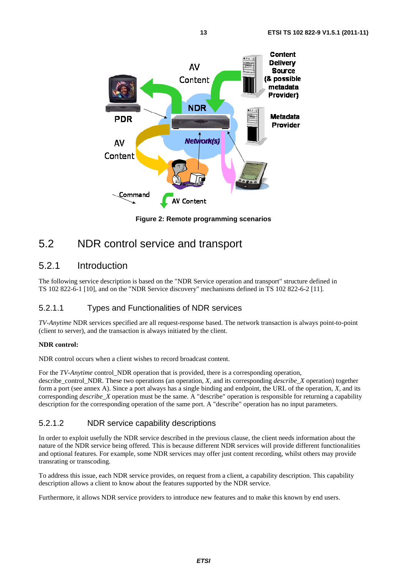

**Figure 2: Remote programming scenarios** 

### 5.2 NDR control service and transport

### 5.2.1 Introduction

The following service description is based on the "NDR Service operation and transport" structure defined in TS 102 822-6-1 [10], and on the "NDR Service discovery" mechanisms defined in TS 102 822-6-2 [11].

### 5.2.1.1 Types and Functionalities of NDR services

*TV-Anytime* NDR services specified are all request-response based. The network transaction is always point-to-point (client to server), and the transaction is always initiated by the client.

#### **NDR control:**

NDR control occurs when a client wishes to record broadcast content.

For the *TV-Anytime* control NDR operation that is provided, there is a corresponding operation, describe\_control\_NDR. These two operations (an operation, *X*, and its corresponding *describe*\_*X* operation) together form a port (see annex A). Since a port always has a single binding and endpoint, the URL of the operation, *X*, and its corresponding *describe\_X* operation must be the same. A "describe" operation is responsible for returning a capability description for the corresponding operation of the same port. A "describe" operation has no input parameters.

#### 5.2.1.2 NDR service capability descriptions

In order to exploit usefully the NDR service described in the previous clause, the client needs information about the nature of the NDR service being offered. This is because different NDR services will provide different functionalities and optional features. For example, some NDR services may offer just content recording, whilst others may provide transrating or transcoding.

To address this issue, each NDR service provides, on request from a client, a capability description. This capability description allows a client to know about the features supported by the NDR service.

Furthermore, it allows NDR service providers to introduce new features and to make this known by end users.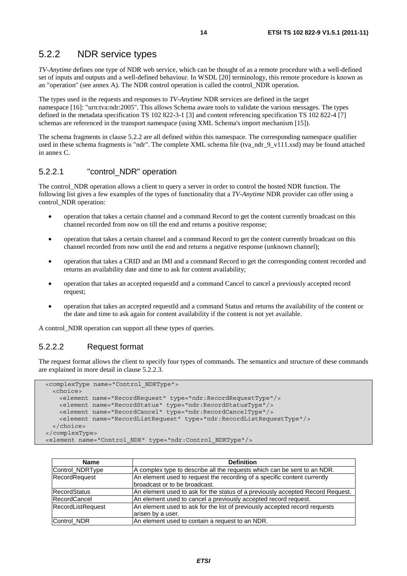### 5.2.2 NDR service types

*TV-Anytime* defines one type of NDR web service, which can be thought of as a remote procedure with a well-defined set of inputs and outputs and a well-defined behaviour. In WSDL [20] terminology, this remote procedure is known as an "operation" (see annex A). The NDR control operation is called the control\_NDR operation.

The types used in the requests and responses to *TV-Anytime* NDR services are defined in the target namespace [16]: "urn:tva:ndr:2005". This allows Schema aware tools to validate the various messages. The types defined in the metadata specification TS 102 822-3-1 [3] and content referencing specification TS 102 822-4 [7] schemas are referenced in the transport namespace (using XML Schema's import mechanism [15]).

The schema fragments in clause 5.2.2 are all defined within this namespace. The corresponding namespace qualifier used in these schema fragments is "ndr". The complete XML schema file (tva\_ndr\_9\_v111.xsd) may be found attached in annex C.

#### 5.2.2.1 "control\_NDR" operation

The control NDR operation allows a client to query a server in order to control the hosted NDR function. The following list gives a few examples of the types of functionality that a *TV-Anytime* NDR provider can offer using a control\_NDR operation:

- operation that takes a certain channel and a command Record to get the content currently broadcast on this channel recorded from now on till the end and returns a positive response;
- operation that takes a certain channel and a command Record to get the content currently broadcast on this channel recorded from now until the end and returns a negative response (unknown channel);
- operation that takes a CRID and an IMI and a command Record to get the corresponding content recorded and returns an availability date and time to ask for content availability;
- operation that takes an accepted requestId and a command Cancel to cancel a previously accepted record request;
- operation that takes an accepted requestId and a command Status and returns the availability of the content or the date and time to ask again for content availability if the content is not yet available.

A control\_NDR operation can support all these types of queries.

#### 5.2.2.2 Request format

The request format allows the client to specify four types of commands. The semantics and structure of these commands are explained in more detail in clause 5.2.2.3.

```
 <complexType name="Control_NDRType"> 
  <choice> 
    <element name="RecordRequest" type="ndr:RecordRequestType"/> 
    <element name="RecordStatus" type="ndr:RecordStatusType"/> 
    <element name="RecordCancel" type="ndr:RecordCancelType"/> 
     <element name="RecordListRequest" type="ndr:RecordListRequestType"/> 
  </choice> 
 </complexType> 
 <element name="Control_NDR" type="ndr:Control_NDRType"/>
```

| <b>Name</b>         | <b>Definition</b>                                                              |
|---------------------|--------------------------------------------------------------------------------|
| Control_NDRType     | A complex type to describe all the requests which can be sent to an NDR.       |
| RecordRequest       | An element used to request the recording of a specific content currently       |
|                     | broadcast or to be broadcast.                                                  |
| RecordStatus        | An element used to ask for the status of a previously accepted Record Request. |
| <b>RecordCancel</b> | An element used to cancel a previously accepted record request.                |
| RecordListRequest   | An element used to ask for the list of previously accepted record requests     |
|                     | arisen by a user.                                                              |
| Control_NDR         | An element used to contain a request to an NDR.                                |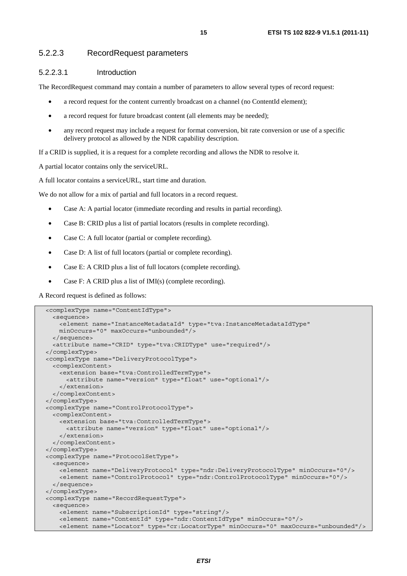#### 5.2.2.3 RecordRequest parameters

#### 5.2.2.3.1 Introduction

The RecordRequest command may contain a number of parameters to allow several types of record request:

- a record request for the content currently broadcast on a channel (no ContentId element);
- a record request for future broadcast content (all elements may be needed);
- any record request may include a request for format conversion, bit rate conversion or use of a specific delivery protocol as allowed by the NDR capability description.

If a CRID is supplied, it is a request for a complete recording and allows the NDR to resolve it.

A partial locator contains only the serviceURL.

A full locator contains a serviceURL, start time and duration.

We do not allow for a mix of partial and full locators in a record request.

- Case A: A partial locator (immediate recording and results in partial recording).
- Case B: CRID plus a list of partial locators (results in complete recording).
- Case C: A full locator (partial or complete recording).
- Case D: A list of full locators (partial or complete recording).
- Case E: A CRID plus a list of full locators (complete recording).
- Case F: A CRID plus a list of IMI(s) (complete recording).

A Record request is defined as follows:

```
 <complexType name="ContentIdType"> 
   <sequence> 
    <element name="InstanceMetadataId" type="tva:InstanceMetadataIdType" 
    minOccurs="0" maxOccurs="unbounded"/> 
  </sequence> 
   <attribute name="CRID" type="tva:CRIDType" use="required"/> 
 </complexType> 
 <complexType name="DeliveryProtocolType"> 
  <complexContent> 
     <extension base="tva:ControlledTermType"> 
       <attribute name="version" type="float" use="optional"/> 
    </extension> 
  </complexContent> 
 </complexType> 
 <complexType name="ControlProtocolType"> 
  <complexContent> 
    <extension base="tva:ControlledTermType"> 
      <attribute name="version" type="float" use="optional"/> 
    </extension> 
  </complexContent> 
 </complexType> 
 <complexType name="ProtocolSetType"> 
  <sequence> 
    <element name="DeliveryProtocol" type="ndr:DeliveryProtocolType" minOccurs="0"/> 
    <element name="ControlProtocol" type="ndr:ControlProtocolType" minOccurs="0"/> 
  </sequence> 
 </complexType> 
 <complexType name="RecordRequestType"> 
  <sequence> 
    <element name="SubscriptionId" type="string"/> 
    <element name="ContentId" type="ndr:ContentIdType" minOccurs="0"/> 
    <element name="Locator" type="cr:LocatorType" minOccurs="0" maxOccurs="unbounded"/>
```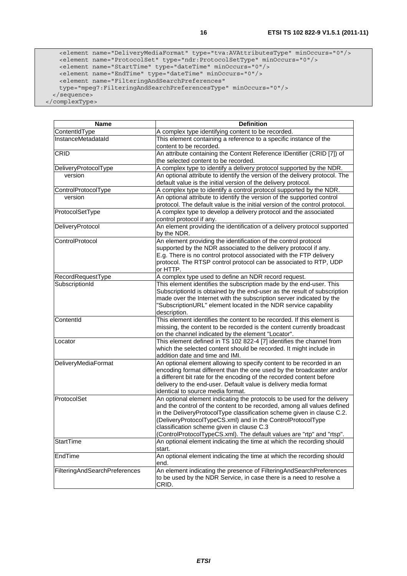<element name="DeliveryMediaFormat" type="tva:AVAttributesType" minOccurs="0"/> <element name="ProtocolSet" type="ndr:ProtocolSetType" minOccurs="0"/> <element name="StartTime" type="dateTime" minOccurs="0"/> <element name="EndTime" type="dateTime" minOccurs="0"/> <element name="FilteringAndSearchPreferences" type="mpeg7:FilteringAndSearchPreferencesType" minOccurs="0"/> </sequence> </complexType>

| <b>Name</b>                   | <b>Definition</b>                                                                                                                                     |
|-------------------------------|-------------------------------------------------------------------------------------------------------------------------------------------------------|
| ContentIdType                 | A complex type identifying content to be recorded.                                                                                                    |
| InstanceMetadataId            | This element containing a reference to a specific instance of the                                                                                     |
|                               | content to be recorded.                                                                                                                               |
| CRID                          | An attribute containing the Content Reference IDentifier (CRID [7]) of<br>the selected content to be recorded.                                        |
| DeliveryProtocolType          | A complex type to identify a delivery protocol supported by the NDR.                                                                                  |
| version                       | An optional attribute to identify the version of the delivery protocol. The                                                                           |
|                               | default value is the initial version of the delivery protocol.                                                                                        |
| ControlProtocolType           | A complex type to identify a control protocol supported by the NDR.                                                                                   |
| version                       | An optional attribute to identify the version of the supported control<br>protocol. The default value is the initial version of the control protocol. |
| ProtocolSetType               | A complex type to develop a delivery protocol and the associated<br>control protocol if any.                                                          |
| DeliveryProtocol              | An element providing the identification of a delivery protocol supported<br>by the NDR.                                                               |
| ControlProtocol               | An element providing the identification of the control protocol                                                                                       |
|                               | supported by the NDR associated to the delivery protocol if any.                                                                                      |
|                               | E.g. There is no control protocol associated with the FTP delivery                                                                                    |
|                               | protocol. The RTSP control protocol can be associated to RTP, UDP                                                                                     |
| RecordRequestType             | or HTTP.<br>A complex type used to define an NDR record request.                                                                                      |
| SubscriptionId                | This element identifies the subscription made by the end-user. This                                                                                   |
|                               | SubscriptionId is obtained by the end-user as the result of subscription                                                                              |
|                               | made over the Internet with the subscription server indicated by the                                                                                  |
|                               | "SubscriptionURL" element located in the NDR service capability                                                                                       |
|                               | description.                                                                                                                                          |
| ContentId                     | This element identifies the content to be recorded. If this element is                                                                                |
|                               | missing, the content to be recorded is the content currently broadcast                                                                                |
|                               | on the channel indicated by the element "Locator".                                                                                                    |
| Locator                       | This element defined in TS 102 822-4 [7] identifies the channel from                                                                                  |
|                               | which the selected content should be recorded. It might include in                                                                                    |
| <b>DeliveryMediaFormat</b>    | addition date and time and IMI.<br>An optional element allowing to specify content to be recorded in an                                               |
|                               | encoding format different than the one used by the broadcaster and/or                                                                                 |
|                               | a different bit rate for the encoding of the recorded content before                                                                                  |
|                               | delivery to the end-user. Default value is delivery media format                                                                                      |
|                               | identical to source media format.                                                                                                                     |
| ProtocolSet                   | An optional element indicating the protocols to be used for the delivery                                                                              |
|                               | and the control of the content to be recorded, among all values defined                                                                               |
|                               | in the DeliveryProtocolType classification scheme given in clause C.2.                                                                                |
|                               | (DeliveryProtocolTypeCS.xml) and in the ControlProtocolType                                                                                           |
|                               | classification scheme given in clause C.3                                                                                                             |
|                               | (ControlProtocolTypeCS.xml). The default values are "rtp" and "rtsp".                                                                                 |
| <b>StartTime</b>              | An optional element indicating the time at which the recording should<br>start.                                                                       |
| EndTime                       | An optional element indicating the time at which the recording should                                                                                 |
|                               | end.                                                                                                                                                  |
| FilteringAndSearchPreferences | An element indicating the presence of FilteringAndSearchPreferences                                                                                   |
|                               | to be used by the NDR Service, in case there is a need to resolve a                                                                                   |
|                               | CRID.                                                                                                                                                 |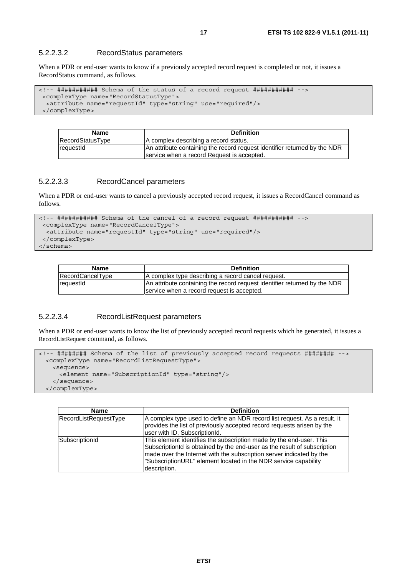#### 5.2.2.3.2 RecordStatus parameters

When a PDR or end-user wants to know if a previously accepted record request is completed or not, it issues a RecordStatus command, as follows.

```
<!-- ########### Schema of the status of a record request ########### --> 
  <complexType name="RecordStatusType"> 
   <attribute name="requestId" type="string" use="required"/> 
  </complexType>
```

| <b>Name</b>        | <b>Definition</b>                                                         |
|--------------------|---------------------------------------------------------------------------|
| RecordStatusType   | A complex describing a record status.                                     |
| <b>I</b> requestId | An attribute containing the record request identifier returned by the NDR |
|                    | service when a record Request is accepted.                                |

#### 5.2.2.3.3 RecordCancel parameters

When a PDR or end-user wants to cancel a previously accepted record request, it issues a RecordCancel command as follows.

```
<!-- ########### Schema of the cancel of a record request ########### --> 
  <complexType name="RecordCancelType"> 
  <attribute name="requestId" type="string" use="required"/> 
  </complexType> 
</schema>
```

| <b>Name</b>      | <b>Definition</b>                                                                                                       |
|------------------|-------------------------------------------------------------------------------------------------------------------------|
| RecordCancelType | A complex type describing a record cancel request.                                                                      |
| requestId        | An attribute containing the record request identifier returned by the NDR<br>service when a record request is accepted. |
|                  |                                                                                                                         |

#### 5.2.2.3.4 RecordListRequest parameters

When a PDR or end-user wants to know the list of previously accepted record requests which he generated, it issues a RecordListRequest command, as follows.

```
<!-- ######## Schema of the list of previously accepted record requests ######## --> 
  <complexType name="RecordListRequestType"> 
    <sequence> 
      <element name="SubscriptionId" type="string"/> 
    </sequence> 
  </complexType>
```

| <b>Name</b>           | <b>Definition</b>                                                                                                                                                                                                                                                                                          |
|-----------------------|------------------------------------------------------------------------------------------------------------------------------------------------------------------------------------------------------------------------------------------------------------------------------------------------------------|
| RecordListRequestType | A complex type used to define an NDR record list request. As a result, it<br>provides the list of previously accepted record requests arisen by the<br>user with ID, SubscriptionId.                                                                                                                       |
| SubscriptionId        | This element identifies the subscription made by the end-user. This<br>SubscriptionId is obtained by the end-user as the result of subscription<br>made over the Internet with the subscription server indicated by the<br>"SubscriptionURL" element located in the NDR service capability<br>description. |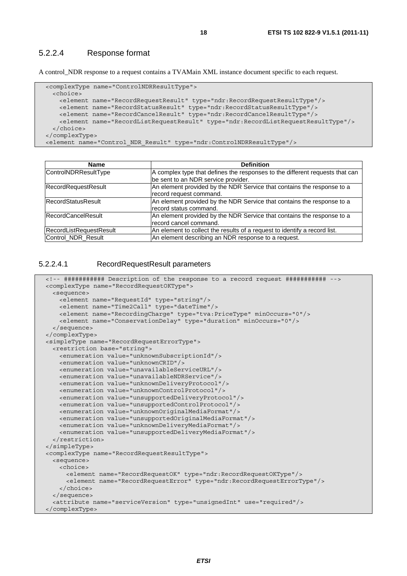#### 5.2.2.4 Response format

A control\_NDR response to a request contains a TVAMain XML instance document specific to each request.

```
 <complexType name="ControlNDRResultType"> 
    <choice> 
      <element name="RecordRequestResult" type="ndr:RecordRequestResultType"/> 
 <element name="RecordStatusResult" type="ndr:RecordStatusResultType"/> 
 <element name="RecordCancelResult" type="ndr:RecordCancelResultType"/> 
      <element name="RecordListRequestResult" type="ndr:RecordListRequestResultType"/> 
    </choice> 
  </complexType> 
  <element name="Control_NDR_Result" type="ndr:ControlNDRResultType"/>
```

| Name                      | <b>Definition</b>                                                            |
|---------------------------|------------------------------------------------------------------------------|
| ControlNDRResultType      | A complex type that defines the responses to the different requests that can |
|                           | be sent to an NDR service provider.                                          |
| RecordRequestResult       | An element provided by the NDR Service that contains the response to a       |
|                           | record request command.                                                      |
| <b>RecordStatusResult</b> | An element provided by the NDR Service that contains the response to a       |
|                           | record status command.                                                       |
| <b>RecordCancelResult</b> | An element provided by the NDR Service that contains the response to a       |
|                           | record cancel command.                                                       |
| RecordListRequestResult   | An element to collect the results of a request to identify a record list.    |
| Control_NDR_Result        | An element describing an NDR response to a request.                          |

#### 5.2.2.4.1 RecordRequestResult parameters

```
 <!-- ########### Description of the response to a record request ########### --> 
 <complexType name="RecordRequestOKType"> 
  <sequence> 
    <element name="RequestId" type="string"/> 
    <element name="Time2Call" type="dateTime"/> 
    <element name="RecordingCharge" type="tva:PriceType" minOccurs="0"/> 
    <element name="ConservationDelay" type="duration" minOccurs="0"/> 
  </sequence> 
 </complexType> 
 <simpleType name="RecordRequestErrorType"> 
   <restriction base="string"> 
    <enumeration value="unknownSubscriptionId"/> 
    <enumeration value="unknownCRID"/> 
    <enumeration value="unavailableServiceURL"/> 
    <enumeration value="unavailableNDRService"/> 
    <enumeration value="unknownDeliveryProtocol"/> 
    <enumeration value="unknownControlProtocol"/> 
    <enumeration value="unsupportedDeliveryProtocol"/> 
    <enumeration value="unsupportedControlProtocol"/> 
    <enumeration value="unknownOriginalMediaFormat"/> 
    <enumeration value="unsupportedOriginalMediaFormat"/> 
    <enumeration value="unknownDeliveryMediaFormat"/> 
    <enumeration value="unsupportedDeliveryMediaFormat"/> 
  </restriction> 
 </simpleType> 
 <complexType name="RecordRequestResultType"> 
  <sequence> 
    <choice> 
      <element name="RecordRequestOK" type="ndr:RecordRequestOKType"/> 
      <element name="RecordRequestError" type="ndr:RecordRequestErrorType"/> 
    </choice> 
  </sequence> 
   <attribute name="serviceVersion" type="unsignedInt" use="required"/> 
 </complexType>
```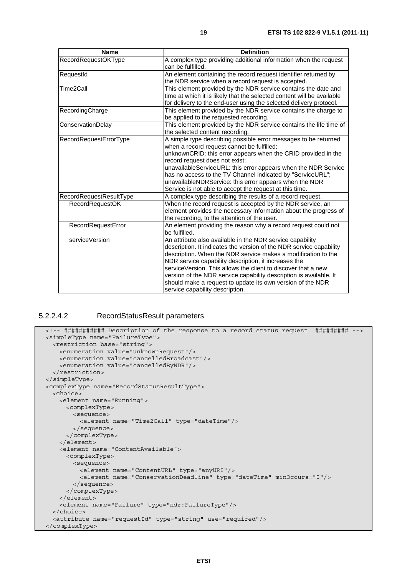| <b>Name</b>             | <b>Definition</b>                                                                                                                                                                                                                                                                                                                                                                                                                                                                                 |
|-------------------------|---------------------------------------------------------------------------------------------------------------------------------------------------------------------------------------------------------------------------------------------------------------------------------------------------------------------------------------------------------------------------------------------------------------------------------------------------------------------------------------------------|
| RecordRequestOKType     | A complex type providing additional information when the request<br>can be fulfilled.                                                                                                                                                                                                                                                                                                                                                                                                             |
| RequestId               | An element containing the record request identifier returned by<br>the NDR service when a record request is accepted.                                                                                                                                                                                                                                                                                                                                                                             |
| Time2Call               | This element provided by the NDR service contains the date and<br>time at which it is likely that the selected content will be available<br>for delivery to the end-user using the selected delivery protocol.                                                                                                                                                                                                                                                                                    |
| RecordingCharge         | This element provided by the NDR service contains the charge to<br>be applied to the requested recording.                                                                                                                                                                                                                                                                                                                                                                                         |
| ConservationDelay       | This element provided by the NDR service contains the life time of<br>the selected content recording.                                                                                                                                                                                                                                                                                                                                                                                             |
| RecordRequestErrorType  | A simple type describing possible error messages to be returned<br>when a record request cannot be fulfilled:<br>unknownCRID: this error appears when the CRID provided in the<br>record request does not exist;<br>unavailableServiceURL: this error appears when the NDR Service<br>has no access to the TV Channel indicated by "ServiceURL";<br>unavailableNDRService: this error appears when the NDR<br>Service is not able to accept the request at this time.                             |
| RecordRequestResultType | A complex type describing the results of a record request.                                                                                                                                                                                                                                                                                                                                                                                                                                        |
| <b>RecordRequestOK</b>  | When the record request is accepted by the NDR service, an<br>element provides the necessary information about the progress of<br>the recording, to the attention of the user.                                                                                                                                                                                                                                                                                                                    |
| RecordRequestError      | An element providing the reason why a record request could not<br>be fulfilled.                                                                                                                                                                                                                                                                                                                                                                                                                   |
| serviceVersion          | An attribute also available in the NDR service capability<br>description. It indicates the version of the NDR service capability<br>description. When the NDR service makes a modification to the<br>NDR service capability description, it increases the<br>serviceVersion. This allows the client to discover that a new<br>version of the NDR service capability description is available. It<br>should make a request to update its own version of the NDR<br>service capability description. |

#### 5.2.2.4.2 RecordStatusResult parameters

```
 <!-- ########### Description of the response to a record status request ######### --> 
 <simpleType name="FailureType"> 
  <restriction base="string"> 
    <enumeration value="unknownRequest"/> 
    <enumeration value="cancelledBroadcast"/> 
    <enumeration value="cancelledByNDR"/> 
  </restriction> 
 </simpleType> 
 <complexType name="RecordStatusResultType"> 
  <choice> 
    <element name="Running"> 
      <complexType> 
        <sequence> 
          <element name="Time2Call" type="dateTime"/> 
        </sequence> 
      </complexType> 
    </element> 
    <element name="ContentAvailable"> 
       <complexType> 
        <sequence> 
          <element name="ContentURL" type="anyURI"/> 
          <element name="ConservationDeadline" type="dateTime" minOccurs="0"/> 
        </sequence> 
       </complexType> 
    </element> 
    <element name="Failure" type="ndr:FailureType"/> 
  </choice> 
   <attribute name="requestId" type="string" use="required"/> 
 </complexType>
```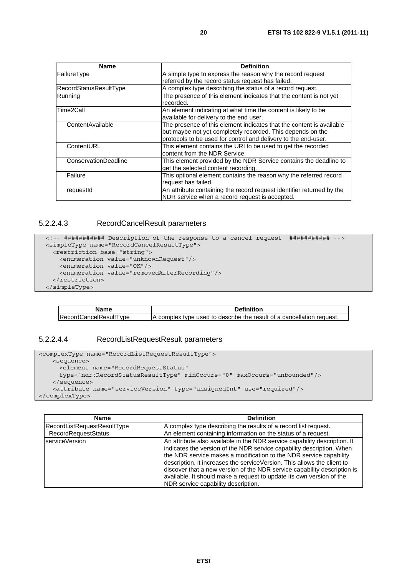| Name                   | <b>Definition</b>                                                     |
|------------------------|-----------------------------------------------------------------------|
| FailureType            | A simple type to express the reason why the record request            |
|                        | referred by the record status request has failed.                     |
| RecordStatusResultType | A complex type describing the status of a record request.             |
| Running                | The presence of this element indicates that the content is not yet    |
|                        | recorded.                                                             |
| Time2Call              | An element indicating at what time the content is likely to be        |
|                        | available for delivery to the end user.                               |
| ContentAvailable       | The presence of this element indicates that the content is available  |
|                        | but maybe not yet completely recorded. This depends on the            |
|                        | protocols to be used for control and delivery to the end-user.        |
| ContentURL             | This element contains the URI to be used to get the recorded          |
|                        | content from the NDR Service.                                         |
| ConservationDeadline   | This element provided by the NDR Service contains the deadline to     |
|                        | get the selected content recording.                                   |
| Failure                | This optional element contains the reason why the referred record     |
|                        | request has failed.                                                   |
| requestId              | An attribute containing the record request identifier returned by the |
|                        | NDR service when a record request is accepted.                        |

#### 5.2.2.4.3 RecordCancelResult parameters

```
 <!-- ########### Description of the response to a cancel request ########### --> 
 <simpleType name="RecordCancelResultType"> 
  <restriction base="string"> 
    <enumeration value="unknownRequest"/> 
    <enumeration value="OK"/> 
    <enumeration value="removedAfterRecording"/> 
   </restriction> 
 </simpleType>
```

| <b>Name</b>                   | <b>Definition</b>                                                     |
|-------------------------------|-----------------------------------------------------------------------|
| <b>RecordCancelResultType</b> | A complex type used to describe the result of a cancellation request. |

#### 5.2.2.4.4 RecordListRequestResult parameters

```
<complexType name="RecordListRequestResultType"> 
    <sequence> 
      <element name="RecordRequestStatus" 
      type="ndr:RecordStatusResultType" minOccurs="0" maxOccurs="unbounded"/> 
    </sequence> 
    <attribute name="serviceVersion" type="unsignedInt" use="required"/> 
</complexType>
```

| <b>Name</b>                        | <b>Definition</b>                                                                                                                                                                                                                                                                                                                                                                                                                                                                              |
|------------------------------------|------------------------------------------------------------------------------------------------------------------------------------------------------------------------------------------------------------------------------------------------------------------------------------------------------------------------------------------------------------------------------------------------------------------------------------------------------------------------------------------------|
| <b>RecordListRequestResultType</b> | A complex type describing the results of a record list request.                                                                                                                                                                                                                                                                                                                                                                                                                                |
| <b>RecordRequestStatus</b>         | An element containing information on the status of a request.                                                                                                                                                                                                                                                                                                                                                                                                                                  |
| serviceVersion                     | An attribute also available in the NDR service capability description. It<br>indicates the version of the NDR service capability description. When<br>the NDR service makes a modification to the NDR service capability<br>description, it increases the serviceVersion. This allows the client to<br>discover that a new version of the NDR service capability description is<br>available. It should make a request to update its own version of the<br>NDR service capability description. |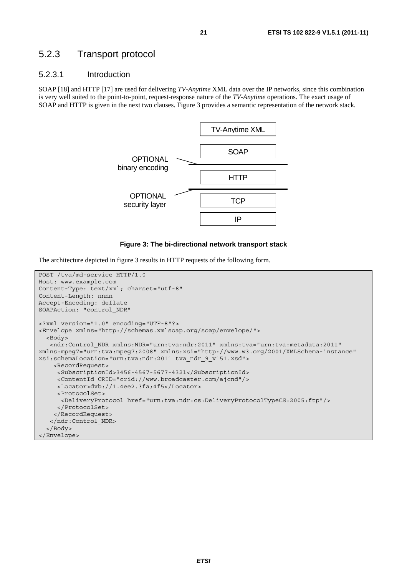### 5.2.3 Transport protocol

#### 5.2.3.1 Introduction

SOAP [18] and HTTP [17] are used for delivering *TV-Anytime* XML data over the IP networks, since this combination is very well suited to the point-to-point, request-response nature of the *TV-Anytime* operations. The exact usage of SOAP and HTTP is given in the next two clauses. Figure 3 provides a semantic representation of the network stack.



#### **Figure 3: The bi-directional network transport stack**

The architecture depicted in figure 3 results in HTTP requests of the following form.

```
POST /tva/md-service HTTP/1.0 
Host: www.example.com 
Content-Type: text/xml; charset="utf-8" 
Content-Length: nnnn 
Accept-Encoding: deflate 
SOAPAction: "control_NDR" 
<?xml version="1.0" encoding="UTF-8"?> 
<Envelope xmlns="http://schemas.xmlsoap.org/soap/envelope/"> 
   <Body> 
    <ndr:Control_NDR xmlns:NDR="urn:tva:ndr:2011" xmlns:tva="urn:tva:metadata:2011" 
xmlns:mpeg7="urn:tva:mpeg7:2008" xmlns:xsi="http://www.w3.org/2001/XMLSchema-instance" 
xsi:schemaLocation="urn:tva:ndr:2011 tva_ndr_9_v151.xsd"> 
     <RecordRequest> 
      <SubscriptionId>3456-4567-5677-4321</SubscriptionId> 
      <ContentId CRID="crid://www.broadcaster.com/ajcnd"/> 
      <Locator>dvb://1.4ee2.3fa;4f5</Locator> 
      <ProtocolSet> 
       <DeliveryProtocol href="urn:tva:ndr:cs:DeliveryProtocolTypeCS:2005:ftp"/> 
      </ProtocolSet> 
     </RecordRequest> 
    </ndr:Control_NDR> 
   </Body> 
</Envelope>
```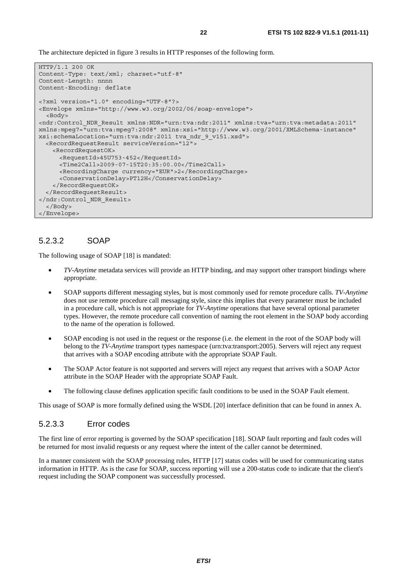The architecture depicted in figure 3 results in HTTP responses of the following form.

```
HTTP/1.1 200 OK 
Content-Type: text/xml; charset="utf-8" 
Content-Length: nnnn 
Content-Encoding: deflate 
<?xml version="1.0" encoding="UTF-8"?> 
<Envelope xmlns="http://www.w3.org/2002/06/soap-envelope"> 
   <Body> 
<ndr:Control_NDR_Result xmlns:NDR="urn:tva:ndr:2011" xmlns:tva="urn:tva:metadata:2011" 
xmlns:mpeg7="urn:tva:mpeg7:2008" xmlns:xsi="http://www.w3.org/2001/XMLSchema-instance" 
xsi:schemaLocation="urn:tva:ndr:2011 tva_ndr_9_v151.xsd"> 
   <RecordRequestResult serviceVersion="12"> 
    <RecordRequestOK> 
       <RequestId>45U753-452</RequestId> 
       <Time2Call>2009-07-15T20:35:00.00</Time2Call> 
      <RecordingCharge currency="EUR">2</RecordingCharge> 
      <ConservationDelay>PT12H</ConservationDelay> 
    </RecordRequestOK> 
   </RecordRequestResult> 
</ndr:Control_NDR_Result> 
  </Body> 
</Envelope>
```
#### 5.2.3.2 SOAP

The following usage of SOAP [18] is mandated:

- *TV-Anytime* metadata services will provide an HTTP binding, and may support other transport bindings where appropriate.
- SOAP supports different messaging styles, but is most commonly used for remote procedure calls. *TV-Anytime* does not use remote procedure call messaging style, since this implies that every parameter must be included in a procedure call, which is not appropriate for *TV-Anytime* operations that have several optional parameter types. However, the remote procedure call convention of naming the root element in the SOAP body according to the name of the operation is followed.
- SOAP encoding is not used in the request or the response (i.e. the element in the root of the SOAP body will belong to the *TV-Anytime* transport types namespace (urn:tva:transport:2005). Servers will reject any request that arrives with a SOAP encoding attribute with the appropriate SOAP Fault.
- The SOAP Actor feature is not supported and servers will reject any request that arrives with a SOAP Actor attribute in the SOAP Header with the appropriate SOAP Fault.
- The following clause defines application specific fault conditions to be used in the SOAP Fault element.

This usage of SOAP is more formally defined using the WSDL [20] interface definition that can be found in annex A.

#### 5.2.3.3 Error codes

The first line of error reporting is governed by the SOAP specification [18]. SOAP fault reporting and fault codes will be returned for most invalid requests or any request where the intent of the caller cannot be determined.

In a manner consistent with the SOAP processing rules, HTTP [17] status codes will be used for communicating status information in HTTP. As is the case for SOAP, success reporting will use a 200-status code to indicate that the client's request including the SOAP component was successfully processed.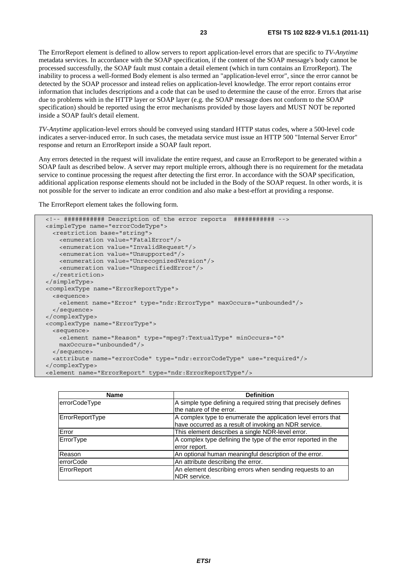The ErrorReport element is defined to allow servers to report application-level errors that are specific to *TV-Anytime* metadata services. In accordance with the SOAP specification, if the content of the SOAP message's body cannot be processed successfully, the SOAP fault must contain a detail element (which in turn contains an ErrorReport). The inability to process a well-formed Body element is also termed an "application-level error", since the error cannot be detected by the SOAP processor and instead relies on application-level knowledge. The error report contains error information that includes descriptions and a code that can be used to determine the cause of the error. Errors that arise due to problems with in the HTTP layer or SOAP layer (e.g. the SOAP message does not conform to the SOAP specification) should be reported using the error mechanisms provided by those layers and MUST NOT be reported inside a SOAP fault's detail element.

*TV-Anytime* application-level errors should be conveyed using standard HTTP status codes, where a 500-level code indicates a server-induced error. In such cases, the metadata service must issue an HTTP 500 "Internal Server Error" response and return an ErrorReport inside a SOAP fault report.

Any errors detected in the request will invalidate the entire request, and cause an ErrorReport to be generated within a SOAP fault as described below. A server may report multiple errors, although there is no requirement for the metadata service to continue processing the request after detecting the first error. In accordance with the SOAP specification, additional application response elements should not be included in the Body of the SOAP request. In other words, it is not possible for the server to indicate an error condition and also make a best-effort at providing a response.

The ErrorReport element takes the following form.

```
 <!-- ########### Description of the error reports ########### --> 
 <simpleType name="errorCodeType"> 
  <restriction base="string"> 
    <enumeration value="FatalError"/> 
    <enumeration value="InvalidRequest"/> 
    <enumeration value="Unsupported"/> 
    <enumeration value="UnrecognizedVersion"/> 
     <enumeration value="UnspecifiedError"/> 
  </restriction> 
 </simpleType> 
 <complexType name="ErrorReportType"> 
   <sequence> 
     <element name="Error" type="ndr:ErrorType" maxOccurs="unbounded"/> 
  </sequence> 
 </complexType> 
 <complexType name="ErrorType"> 
  <sequence> 
    <element name="Reason" type="mpeg7:TextualType" minOccurs="0" 
    maxOccurs="unbounded"/> 
  </sequence> 
   <attribute name="errorCode" type="ndr:errorCodeType" use="required"/> 
 </complexType> 
 <element name="ErrorReport" type="ndr:ErrorReportType"/>
```

| <b>Name</b>      | <b>Definition</b>                                                                                                      |
|------------------|------------------------------------------------------------------------------------------------------------------------|
| errorCodeType    | A simple type defining a required string that precisely defines<br>the nature of the error.                            |
| ErrorReportType  | A complex type to enumerate the application level errors that<br>have occurred as a result of invoking an NDR service. |
| Error            | This element describes a single NDR-level error.                                                                       |
| ErrorType        | A complex type defining the type of the error reported in the<br>error report.                                         |
| Reason           | An optional human meaningful description of the error.                                                                 |
| <b>errorCode</b> | An attribute describing the error.                                                                                     |
| ErrorReport      | An element describing errors when sending requests to an<br>NDR service.                                               |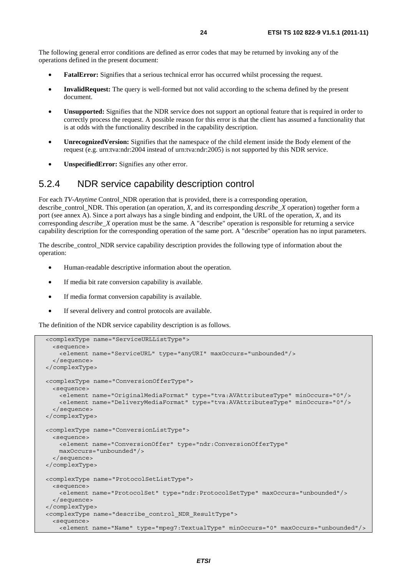The following general error conditions are defined as error codes that may be returned by invoking any of the operations defined in the present document:

- **FatalError:** Signifies that a serious technical error has occurred whilst processing the request.
- **InvalidRequest:** The query is well-formed but not valid according to the schema defined by the present document.
- **Unsupported:** Signifies that the NDR service does not support an optional feature that is required in order to correctly process the request. A possible reason for this error is that the client has assumed a functionality that is at odds with the functionality described in the capability description.
- **UnrecognizedVersion:** Signifies that the namespace of the child element inside the Body element of the request (e.g. urn:tva:ndr:2004 instead of urn:tva:ndr:2005) is not supported by this NDR service.
- **UnspecifiedError:** Signifies any other error.

### 5.2.4 NDR service capability description control

For each *TV-Anytime* Control\_NDR operation that is provided, there is a corresponding operation, describe control NDR. This operation (an operation, *X*, and its corresponding *describe* X operation) together form a port (see annex A). Since a port always has a single binding and endpoint, the URL of the operation, *X*, and its corresponding *describe\_X* operation must be the same. A "describe" operation is responsible for returning a service capability description for the corresponding operation of the same port. A "describe" operation has no input parameters.

The describe control NDR service capability description provides the following type of information about the operation:

- Human-readable descriptive information about the operation.
- If media bit rate conversion capability is available.
- If media format conversion capability is available.
- If several delivery and control protocols are available.

The definition of the NDR service capability description is as follows.

```
 <complexType name="ServiceURLListType"> 
   <sequence> 
    <element name="ServiceURL" type="anyURI" maxOccurs="unbounded"/> 
   </sequence> 
 </complexType> 
 <complexType name="ConversionOfferType"> 
  <sequence> 
    <element name="OriginalMediaFormat" type="tva:AVAttributesType" minOccurs="0"/> 
     <element name="DeliveryMediaFormat" type="tva:AVAttributesType" minOccurs="0"/> 
   </sequence> 
 </complexType> 
 <complexType name="ConversionListType"> 
  <sequence> 
    <element name="ConversionOffer" type="ndr:ConversionOfferType" 
    maxOccurs="unbounded"/> 
  </sequence> 
 </complexType> 
 <complexType name="ProtocolSetListType"> 
  <sequence> 
    <element name="ProtocolSet" type="ndr:ProtocolSetType" maxOccurs="unbounded"/> 
  </sequence> 
 </complexType> 
 <complexType name="describe_control_NDR_ResultType"> 
   <sequence> 
    <element name="Name" type="mpeg7:TextualType" minOccurs="0" maxOccurs="unbounded"/>
```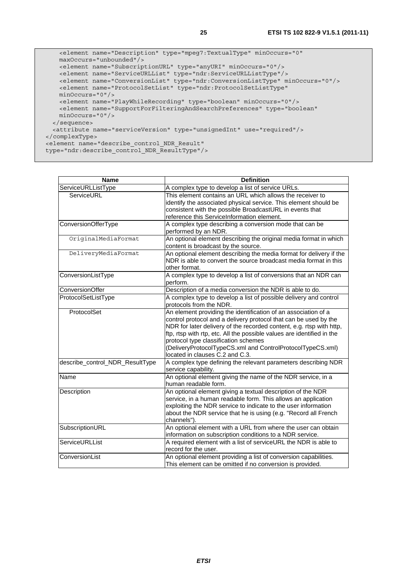```
 <element name="Description" type="mpeg7:TextualType" minOccurs="0" 
      maxOccurs="unbounded"/> 
      <element name="SubscriptionURL" type="anyURI" minOccurs="0"/> 
      <element name="ServiceURLList" type="ndr:ServiceURLListType"/> 
 <element name="ConversionList" type="ndr:ConversionListType" minOccurs="0"/> 
 <element name="ProtocolSetList" type="ndr:ProtocolSetListType" 
      minOccurs="0"/> 
      <element name="PlayWhileRecording" type="boolean" minOccurs="0"/> 
      <element name="SupportForFilteringAndSearchPreferences" type="boolean" 
      minOccurs="0"/> 
    </sequence> 
    <attribute name="serviceVersion" type="unsignedInt" use="required"/> 
  </complexType> 
  <element name="describe_control_NDR_Result"
```
type="ndr:describe\_control\_NDR\_ResultType"/>

| <b>Name</b>                     | <b>Definition</b>                                                                                                                                                                                                                                                                                                                                                                                                             |
|---------------------------------|-------------------------------------------------------------------------------------------------------------------------------------------------------------------------------------------------------------------------------------------------------------------------------------------------------------------------------------------------------------------------------------------------------------------------------|
| ServiceURLListType              | A complex type to develop a list of service URLs.                                                                                                                                                                                                                                                                                                                                                                             |
| ServiceURL                      | This element contains an URL which allows the receiver to<br>identify the associated physical service. This element should be<br>consistent with the possible BroadcastURL in events that<br>reference this ServiceInformation element.                                                                                                                                                                                       |
| <b>ConversionOfferType</b>      | A complex type describing a conversion mode that can be<br>performed by an NDR.                                                                                                                                                                                                                                                                                                                                               |
| OriginalMediaFormat             | An optional element describing the original media format in which<br>content is broadcast by the source.                                                                                                                                                                                                                                                                                                                      |
| DeliveryMediaFormat             | An optional element describing the media format for delivery if the<br>NDR is able to convert the source broadcast media format in this<br>other format.                                                                                                                                                                                                                                                                      |
| ConversionListType              | A complex type to develop a list of conversions that an NDR can<br>perform.                                                                                                                                                                                                                                                                                                                                                   |
| ConversionOffer                 | Description of a media conversion the NDR is able to do.                                                                                                                                                                                                                                                                                                                                                                      |
| ProtocolSetListType             | A complex type to develop a list of possible delivery and control<br>protocols from the NDR.                                                                                                                                                                                                                                                                                                                                  |
| ProtocolSet                     | An element providing the identification of an association of a<br>control protocol and a delivery protocol that can be used by the<br>NDR for later delivery of the recorded content, e.g. rtsp with http,<br>ftp, rtsp with rtp, etc. All the possible values are identified in the<br>protocol type classification schemes<br>(DeliveryProtocolTypeCS.xml and ControlProtocolTypeCS.xml)<br>located in clauses C.2 and C.3. |
| describe_control_NDR_ResultType | A complex type defining the relevant parameters describing NDR<br>service capability.                                                                                                                                                                                                                                                                                                                                         |
| Name                            | An optional element giving the name of the NDR service, in a<br>human readable form.                                                                                                                                                                                                                                                                                                                                          |
| Description                     | An optional element giving a textual description of the NDR<br>service, in a human readable form. This allows an application<br>exploiting the NDR service to indicate to the user information<br>about the NDR service that he is using (e.g. "Record all French<br>channels").                                                                                                                                              |
| SubscriptionURL                 | An optional element with a URL from where the user can obtain<br>information on subscription conditions to a NDR service.                                                                                                                                                                                                                                                                                                     |
| ServiceURLList                  | A required element with a list of serviceURL the NDR is able to<br>record for the user.                                                                                                                                                                                                                                                                                                                                       |
| ConversionList                  | An optional element providing a list of conversion capabilities.<br>This element can be omitted if no conversion is provided.                                                                                                                                                                                                                                                                                                 |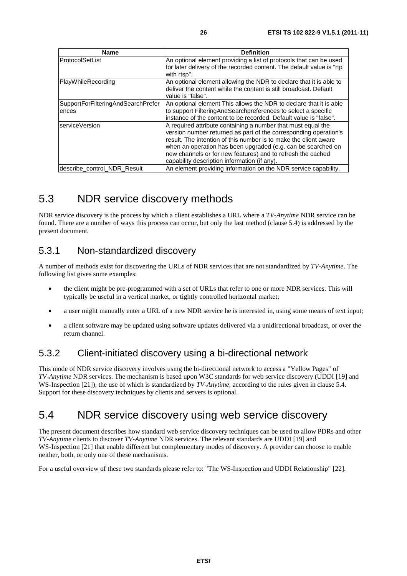| <b>Name</b>                                 | <b>Definition</b>                                                                                                                                                                                                                                                                                                                                                                   |
|---------------------------------------------|-------------------------------------------------------------------------------------------------------------------------------------------------------------------------------------------------------------------------------------------------------------------------------------------------------------------------------------------------------------------------------------|
| ProtocolSetList                             | An optional element providing a list of protocols that can be used<br>for later delivery of the recorded content. The default value is "rtp<br>with rtsp".                                                                                                                                                                                                                          |
| PlayWhileRecording                          | An optional element allowing the NDR to declare that it is able to<br>deliver the content while the content is still broadcast. Default<br>value is "false".                                                                                                                                                                                                                        |
| SupportForFilteringAndSearchPrefer<br>ences | An optional element This allows the NDR to declare that it is able<br>to support Filtering And Search preferences to select a specific<br>linstance of the content to be recorded. Default value is "false".                                                                                                                                                                        |
| serviceVersion                              | A required attribute containing a number that must equal the<br>version number returned as part of the corresponding operation's<br>result. The intention of this number is to make the client aware<br>when an operation has been upgraded (e.g. can be searched on<br>new channels or for new features) and to refresh the cached<br>capability description information (if any). |
| describe control NDR Result                 | An element providing information on the NDR service capability.                                                                                                                                                                                                                                                                                                                     |

### 5.3 NDR service discovery methods

NDR service discovery is the process by which a client establishes a URL where a *TV-Anytime* NDR service can be found. There are a number of ways this process can occur, but only the last method (clause 5.4) is addressed by the present document.

### 5.3.1 Non-standardized discovery

A number of methods exist for discovering the URLs of NDR services that are not standardized by *TV-Anytime*. The following list gives some examples:

- the client might be pre-programmed with a set of URLs that refer to one or more NDR services. This will typically be useful in a vertical market, or tightly controlled horizontal market;
- a user might manually enter a URL of a new NDR service he is interested in, using some means of text input;
- a client software may be updated using software updates delivered via a unidirectional broadcast, or over the return channel.

### 5.3.2 Client-initiated discovery using a bi-directional network

This mode of NDR service discovery involves using the bi-directional network to access a "Yellow Pages" of *TV-Anytime* NDR services. The mechanism is based upon W3C standards for web service discovery (UDDI [19] and WS-Inspection [21]), the use of which is standardized by *TV-Anytime*, according to the rules given in clause 5.4. Support for these discovery techniques by clients and servers is optional.

### 5.4 NDR service discovery using web service discovery

The present document describes how standard web service discovery techniques can be used to allow PDRs and other *TV-Anytime* clients to discover *TV-Anytime* NDR services. The relevant standards are UDDI [19] and WS*-*Inspection [21] that enable different but complementary modes of discovery. A provider can choose to enable neither, both, or only one of these mechanisms.

For a useful overview of these two standards please refer to: "The WS-Inspection and UDDI Relationship" [22].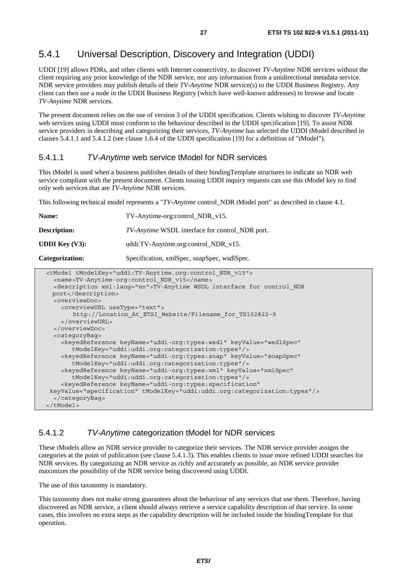### 5.4.1 Universal Description, Discovery and Integration (UDDI)

UDDI [19] allows PDRs, and other clients with Internet connectivity, to discover *TV-Anytime* NDR services without the client requiring any prior knowledge of the NDR service, nor any information from a unidirectional metadata service. NDR service providers may publish details of their *TV-Anytime* NDR service(s) to the UDDI Business Registry. Any client can then use a node in the UDDI Business Registry (which have well-known addresses) to browse and locate *TV-Anytime* NDR services.

The present document relies on the use of version 3 of the UDDI specification. Clients wishing to discover *TV-Anytime* web services using UDDI must conform to the behaviour described in the UDDI specification [19]. To assist NDR service providers in describing and categorizing their services, *TV-Anytime* has selected the UDDI tModel described in clauses 5.4.1.1 and 5.4.1.2 (see clause 1.6.4 of the UDDI specification [19] for a definition of "tModel").

#### 5.4.1.1 *TV-Anytime* web service tModel for NDR services

This tModel is used when a business publishes details of their bindingTemplate structures to indicate an NDR web service compliant with the present document. Clients issuing UDDI inquiry requests can use this tModel key to find only web services that are *TV-Anytime* NDR services.

This following technical model represents a "*TV-Anytime* control\_NDR tModel port" as described in clause 4.1.

| Name:                                                                                                                                                                                                                                                                          | TV-Anytime-org:control_NDR_v15.                        |  |
|--------------------------------------------------------------------------------------------------------------------------------------------------------------------------------------------------------------------------------------------------------------------------------|--------------------------------------------------------|--|
| <b>Description:</b>                                                                                                                                                                                                                                                            | <i>TV-Anytime</i> WSDL interface for control NDR port. |  |
| <b>UDDI</b> Key $(V3)$ :                                                                                                                                                                                                                                                       | uddi:TV-Anytime.org:control_NDR_v15.                   |  |
| Categorization:                                                                                                                                                                                                                                                                | Specification, xmlSpec, soapSpec, wsdlSpec.            |  |
| <tmodel tmodelkey="uddi:TV-Anytime.org:control NDR v15"><br/><name>TV-Anytime-org:control NDR v15</name><br/><description xml:lanq="en">TV-Anytime WSDL interface for control NDR<br/><math>n \rightarrow + \sqrt{d} \cdot n \cdot n + i \cdot n</math></description></tmodel> |                                                        |  |

```
 port</description> 
   <overviewDoc> 
     <overviewURL useType="text"> 
        http://Location_At_ETSI_Website/Filename_for_TS102822-9 
     </overviewURL> 
   </overviewDoc> 
   <categoryBag> 
     <keyedReference keyName="uddi-org:types:wsdl" keyValue="wsdlSpec" 
        tModelKey="uddi:uddi.org:categorization:types"/> 
     <keyedReference keyName="uddi-org:types:soap" keyValue="soapSpec" 
        tModelKey="uddi:uddi.org:categorization:types"/> 
     <keyedReference keyName="uddi-org:types:xml" keyValue="xmlSpec" 
        tModelKey="uddi:uddi.org:categorization:types"/> 
     <keyedReference keyName="uddi-org:types:specification" 
 keyValue="specification" tModelKey="uddi:uddi.org:categorization:types"/> 
   </categoryBag> 
 </tModel>
```
#### 5.4.1.2 *TV-Anytime* categorization tModel for NDR services

These tModels allow an NDR service provider to categorize their services. The NDR service provider assigns the categories at the point of publication (see clause 5.4.1.3). This enables clients to issue more refined UDDI searches for NDR services. By categorizing an NDR service as richly and accurately as possible, an NDR service provider maximizes the possibility of the NDR service being discovered using UDDI.

The use of this taxonomy is mandatory.

This taxonomy does not make strong guarantees about the behaviour of any services that use them. Therefore, having discovered an NDR service, a client should always retrieve a service capability description of that service. In some cases, this involves no extra steps as the capability description will be included inside the bindingTemplate for that operation.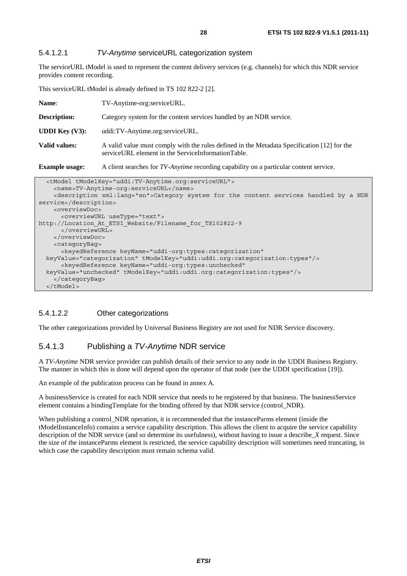#### 5.4.1.2.1 *TV-Anytime* serviceURL categorization system

The serviceURL tModel is used to represent the content delivery services (e.g. channels) for which this NDR service provides content recording.

This serviceURL tModel is already defined in TS 102 822-2 [2].

| Name:                    | TV-Anytime-org:serviceURL.                                                                                                                        |  |
|--------------------------|---------------------------------------------------------------------------------------------------------------------------------------------------|--|
| <b>Description:</b>      | Category system for the content services handled by an NDR service.                                                                               |  |
| <b>UDDI</b> Key $(V3)$ : | uddi:TV-Anytime.org:serviceURL.                                                                                                                   |  |
| Valid values:            | A valid value must comply with the rules defined in the Metadata Specification [12] for the<br>serviceURL element in the ServiceInformationTable. |  |
| <b>Example usage:</b>    | A client searches for TV-Anytime recording capability on a particular content service.                                                            |  |

| <tmodel tmodelkey="uddi:TV-Anytime.org:serviceURL"></tmodel>                                       |
|----------------------------------------------------------------------------------------------------|
| <name>TV-Anytime-org:serviceURL</name>                                                             |
| <description xml:lang="en">Category system for the content services handled by a NDR</description> |
| service                                                                                            |
| <overviewdoc></overviewdoc>                                                                        |
| <overviewurl usetype="text"></overviewurl>                                                         |
| http://Location At ETSI Website/Filename for TS102822-9                                            |
|                                                                                                    |
|                                                                                                    |
| <categorybag></categorybag>                                                                        |
| <keyedreference <="" keyname="uddi-org:types:categorization" td=""></keyedreference>               |
| keyValue="categorization" tModelKey="uddi:uddi.org:categorization:types"/>                         |
| <keyedreference <="" keyname="uddi-org:types:unchecked" td=""></keyedreference>                    |
| keyValue="unchecked" tModelKey="uddi:uddi.org:categorization:types"/>                              |
|                                                                                                    |
| $\langle$ /tModel>                                                                                 |

#### 5.4.1.2.2 Other categorizations

The other categorizations provided by Universal Business Registry are not used for NDR Service discovery.

#### 5.4.1.3 Publishing a *TV-Anytime* NDR service

A *TV-Anytime* NDR service provider can publish details of their service to any node in the UDDI Business Registry. The manner in which this is done will depend upon the operator of that node (see the UDDI specification [19]).

An example of the publication process can be found in annex A.

A businessService is created for each NDR service that needs to be registered by that business. The businessService element contains a bindingTemplate for the binding offered by that NDR service (control\_NDR).

When publishing a control\_NDR operation, it is recommended that the instanceParms element (inside the tModelInstanceInfo) contains a service capability description. This allows the client to acquire the service capability description of the NDR service (and so determine its usefulness), without having to issue a describe\_*X* request. Since the size of the instanceParms element is restricted, the service capability description will sometimes need truncating, in which case the capability description must remain schema valid.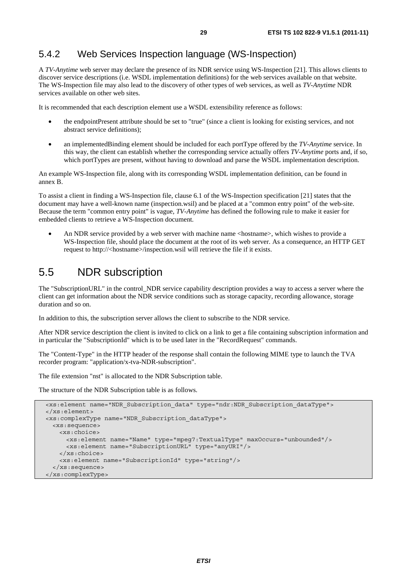### 5.4.2 Web Services Inspection language (WS-Inspection)

A *TV-Anytime* web server may declare the presence of its NDR service using WS-Inspection [21]. This allows clients to discover service descriptions (i.e. WSDL implementation definitions) for the web services available on that website. The WS-Inspection file may also lead to the discovery of other types of web services, as well as *TV-Anytime* NDR services available on other web sites.

It is recommended that each description element use a WSDL extensibility reference as follows:

- the endpointPresent attribute should be set to "true" (since a client is looking for existing services, and not abstract service definitions);
- an implementedBinding element should be included for each portType offered by the *TV-Anytime* service. In this way, the client can establish whether the corresponding service actually offers *TV-Anytime* ports and, if so, which portTypes are present, without having to download and parse the WSDL implementation description.

An example WS-Inspection file, along with its corresponding WSDL implementation definition, can be found in annex B.

To assist a client in finding a WS-Inspection file, clause 6.1 of the WS-Inspection specification [21] states that the document may have a well-known name (inspection.wsil) and be placed at a "common entry point" of the web-site. Because the term "common entry point" is vague, *TV-Anytime* has defined the following rule to make it easier for embedded clients to retrieve a WS-Inspection document.

An NDR service provided by a web server with machine name <hostname>, which wishes to provide a WS*-*Inspection file, should place the document at the root of its web server. As a consequence, an HTTP GET request to http://<hostname>/inspection.wsil will retrieve the file if it exists.

### 5.5 NDR subscription

The "SubscriptionURL" in the control\_NDR service capability description provides a way to access a server where the client can get information about the NDR service conditions such as storage capacity, recording allowance, storage duration and so on.

In addition to this, the subscription server allows the client to subscribe to the NDR service.

After NDR service description the client is invited to click on a link to get a file containing subscription information and in particular the "SubscriptionId" which is to be used later in the "RecordRequest" commands.

The "Content-Type" in the HTTP header of the response shall contain the following MIME type to launch the TVA recorder program: "application/x-tva-NDR-subscription".

The file extension "nst" is allocated to the NDR Subscription table.

The structure of the NDR Subscription table is as follows.

```
 <xs:element name="NDR_Subscription_data" type="ndr:NDR_Subscription_dataType"> 
 </xs:element> 
 <xs:complexType name="NDR_Subscription_dataType"> 
  <xs:sequence> 
    <xs:choice> 
      <xs:element name="Name" type="mpeg7:TextualType" maxOccurs="unbounded"/> 
      <xs:element name="SubscriptionURL" type="anyURI"/> 
    </xs:choice> 
     <xs:element name="SubscriptionId" type="string"/> 
  </xs:sequence> 
 </xs:complexType>
```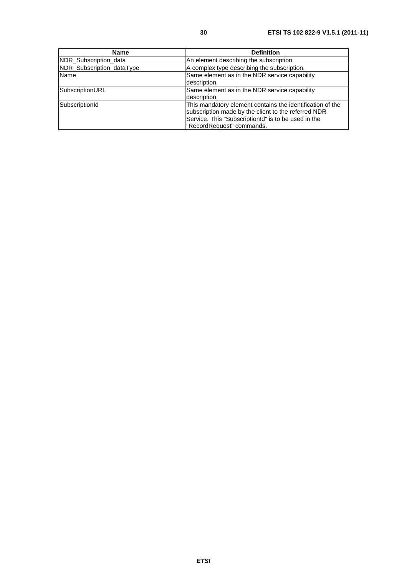| <b>Name</b>               | <b>Definition</b>                                                                                                                                                                                    |
|---------------------------|------------------------------------------------------------------------------------------------------------------------------------------------------------------------------------------------------|
| NDR_Subscription_data     | An element describing the subscription.                                                                                                                                                              |
| NDR Subscription dataType | A complex type describing the subscription.                                                                                                                                                          |
| <b>Name</b>               | Same element as in the NDR service capability<br>description.                                                                                                                                        |
| SubscriptionURL           | Same element as in the NDR service capability<br>description.                                                                                                                                        |
| SubscriptionId            | This mandatory element contains the identification of the<br>subscription made by the client to the referred NDR<br>Service. This "SubscriptionId" is to be used in the<br>"RecordRequest" commands. |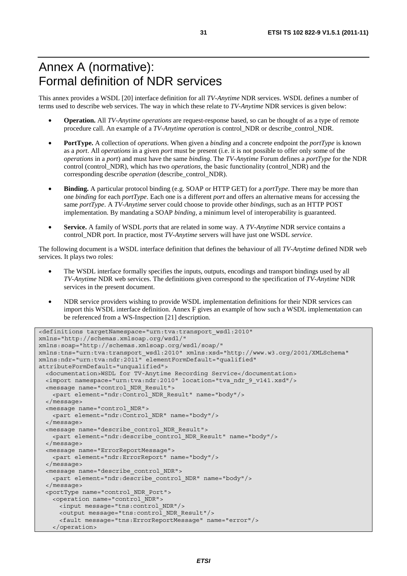# Annex A (normative): Formal definition of NDR services

This annex provides a WSDL [20] interface definition for all *TV-Anytime* NDR services. WSDL defines a number of terms used to describe web services. The way in which these relate to *TV-Anytime* NDR services is given below:

- **Operation.** All *TV-Anytime operations* are request-response based, so can be thought of as a type of remote procedure call. An example of a *TV-Anytime operation* is control\_NDR or describe\_control\_NDR.
- **PortType.** A collection of *operations*. When given a *binding* and a concrete endpoint the *portType* is known as a *port*. All *operations* in a given *port* must be present (i.e. it is not possible to offer only some of the *operations* in a *port*) and must have the same *binding*. The *TV-Anytime* Forum defines a *portType* for the NDR control (control\_NDR), which has two *operations*, the basic functionality (control\_NDR) and the corresponding describe *operation* (describe\_control\_NDR).
- **Binding.** A particular protocol binding (e.g. SOAP or HTTP GET) for a *portType*. There may be more than one *binding* for each *portType*. Each one is a different *port* and offers an alternative means for accessing the same *portType*. A *TV-Anytime* server could choose to provide other *bindings*, such as an HTTP POST implementation. By mandating a SOAP *binding*, a minimum level of interoperability is guaranteed.
- **Service.** A family of WSDL *ports* that are related in some way. A *TV-Anytime* NDR service contains a control\_NDR port. In practice, most *TV-Anytime* servers will have just one WSDL *service*.

The following document is a WSDL interface definition that defines the behaviour of all *TV-Anytime* defined NDR web services. It plays two roles:

- The WSDL interface formally specifies the inputs, outputs, encodings and transport bindings used by all *TV-Anytime* NDR web services. The definitions given correspond to the specification of *TV-Anytime* NDR services in the present document.
- NDR service providers wishing to provide WSDL implementation definitions for their NDR services can import this WSDL interface definition. Annex F gives an example of how such a WSDL implementation can be referenced from a WS-Inspection [21] description.

```
<definitions targetNamespace="urn:tva:transport_wsdl:2010" 
xmlns="http://schemas.xmlsoap.org/wsdl/" 
xmlns:soap="http://schemas.xmlsoap.org/wsdl/soap/" 
xmlns:tns="urn:tva:transport_wsdl:2010" xmlns:xsd="http://www.w3.org/2001/XMLSchema" 
xmlns:ndr="urn:tva:ndr:2011" elementFormDefault="qualified" 
attributeFormDefault="unqualified"> 
   <documentation>WSDL for TV-Anytime Recording Service</documentation> 
   <import namespace="urn:tva:ndr:2010" location="tva_ndr_9_v141.xsd"/> 
   <message name="control_NDR_Result"> 
     <part element="ndr:Control_NDR_Result" name="body"/> 
   </message> 
   <message name="control_NDR"> 
    <part element="ndr:Control_NDR" name="body"/> 
   </message> 
   <message name="describe_control_NDR_Result"> 
    <part element="ndr:describe_control_NDR_Result" name="body"/> 
   </message> 
   <message name="ErrorReportMessage"> 
     <part element="ndr:ErrorReport" name="body"/> 
   </message> 
   <message name="describe_control_NDR"> 
    <part element="ndr:describe_control_NDR" name="body"/> 
   </message> 
   <portType name="control_NDR_Port"> 
    <operation name="control_NDR"> 
      <input message="tns:control_NDR"/> 
      <output message="tns:control_NDR_Result"/> 
       <fault message="tns:ErrorReportMessage" name="error"/> 
    </operation>
```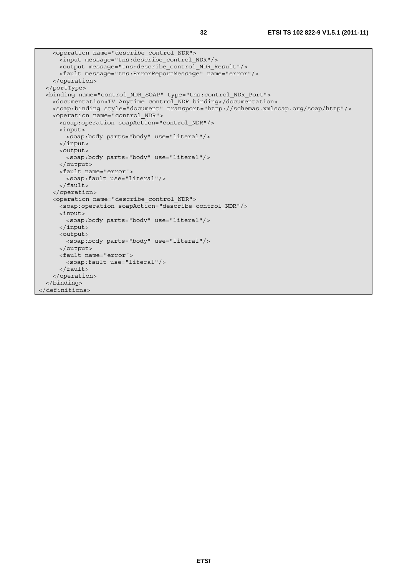```
 <operation name="describe_control_NDR"> 
      <input message="tns:describe_control_NDR"/> 
      <output message="tns:describe_control_NDR_Result"/> 
      <fault message="tns:ErrorReportMessage" name="error"/> 
    </operation> 
   </portType> 
  <binding name="control_NDR_SOAP" type="tns:control_NDR_Port"> 
    <documentation>TV Anytime control_NDR binding</documentation> 
    <soap:binding style="document" transport="http://schemas.xmlsoap.org/soap/http"/> 
    <operation name="control_NDR"> 
      <soap:operation soapAction="control_NDR"/> 
      <input> 
        <soap:body parts="body" use="literal"/> 
      </input> 
      <output> 
        <soap:body parts="body" use="literal"/> 
      </output> 
      <fault name="error"> 
        <soap:fault use="literal"/> 
      </fault> 
    </operation> 
    <operation name="describe_control_NDR"> 
     -<br><soap:operation soapAction="describe control NDR"/>
      <input> 
       <soap:body parts="body" use="literal"/>
      </input> 
      <output> 
        <soap:body parts="body" use="literal"/> 
      </output> 
      <fault name="error"> 
        <soap:fault use="literal"/> 
      </fault> 
     </operation> 
   </binding> 
</definitions>
```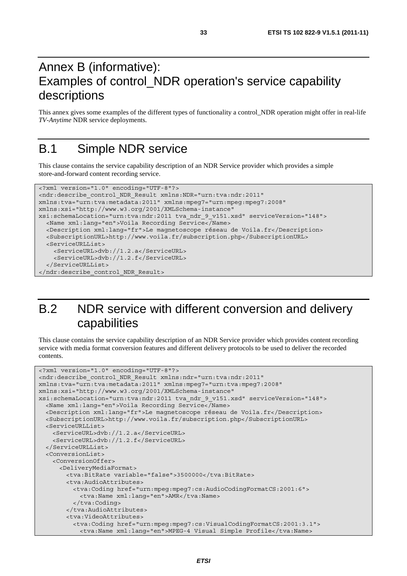# Annex B (informative): Examples of control\_NDR operation's service capability descriptions

This annex gives some examples of the different types of functionality a control\_NDR operation might offer in real*-*life *TV-Anytime* NDR service deployments.

# B.1 Simple NDR service

This clause contains the service capability description of an NDR Service provider which provides a simple store*-*and*-*forward content recording service.

```
<?xml version="1.0" encoding="UTF-8"?> 
<ndr:describe_control_NDR_Result xmlns:NDR="urn:tva:ndr:2011" 
xmlns:tva="urn:tva:metadata:2011" xmlns:mpeg7="urn:mpeg:mpeg7:2008" 
xmlns:xsi="http://www.w3.org/2001/XMLSchema-instance" 
xsi:schemaLocation="urn:tva:ndr:2011 tva_ndr_9_v151.xsd" serviceVersion="148"> 
   <Name xml:lang="en">Voila Recording Service</Name> 
   <Description xml:lang="fr">Le magnetoscope réseau de Voila.fr</Description> 
   <SubscriptionURL>http://www.voila.fr/subscription.php</SubscriptionURL> 
   <ServiceURLList> 
     <ServiceURL>dvb://1.2.a</ServiceURL> 
     <ServiceURL>dvb://1.2.f</ServiceURL> 
   </ServiceURLList> 
</ndr:describe_control_NDR_Result>
```
# B.2 NDR service with different conversion and delivery capabilities

This clause contains the service capability description of an NDR Service provider which provides content recording service with media format conversion features and different delivery protocols to be used to deliver the recorded contents.

```
<?xml version="1.0" encoding="UTF-8"?> 
<ndr:describe_control_NDR_Result xmlns:ndr="urn:tva:ndr:2011" 
xmlns:tva="urn:tva:metadata:2011" xmlns:mpeg7="urn:tva:mpeg7:2008" 
xmlns:xsi="http://www.w3.org/2001/XMLSchema-instance" 
xsi:schemaLocation="urn:tva:ndr:2011 tva_ndr_9_v151.xsd" serviceVersion="148"> 
   <Name xml:lang="en">Voila Recording Service</Name> 
   <Description xml:lang="fr">Le magnetoscope réseau de Voila.fr</Description> 
   <SubscriptionURL>http://www.voila.fr/subscription.php</SubscriptionURL> 
   <ServiceURLList> 
     <ServiceURL>dvb://1.2.a</ServiceURL> 
     <ServiceURL>dvb://1.2.f</ServiceURL> 
   </ServiceURLList> 
   <ConversionList> 
    <ConversionOffer> 
       <DeliveryMediaFormat> 
        <tva:BitRate variable="false">3500000</tva:BitRate> 
        <tva:AudioAttributes> 
          <tva:Coding href="urn:mpeg:mpeg7:cs:AudioCodingFormatCS:2001:6"> 
            <tva:Name xml:lang="en">AMR</tva:Name> 
           </tva:Coding> 
         </tva:AudioAttributes> 
         <tva:VideoAttributes> 
          <tva:Coding href="urn:mpeg:mpeg7:cs:VisualCodingFormatCS:2001:3.1"> 
            <tva:Name xml:lang="en">MPEG-4 Visual Simple Profile</tva:Name>
```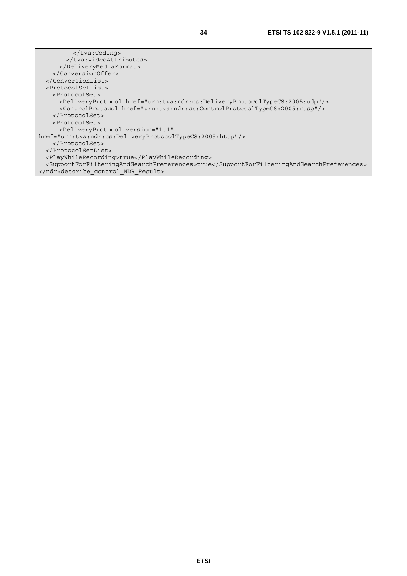</tva:Coding> </tva:VideoAttributes> </DeliveryMediaFormat> </ConversionOffer> </ConversionList> <ProtocolSetList> <ProtocolSet> <DeliveryProtocol href="urn:tva:ndr:cs:DeliveryProtocolTypeCS:2005:udp"/> <ControlProtocol href="urn:tva:ndr:cs:ControlProtocolTypeCS:2005:rtsp"/> </ProtocolSet> <ProtocolSet> <DeliveryProtocol version="1.1" href="urn:tva:ndr:cs:DeliveryProtocolTypeCS:2005:http"/> </ProtocolSet> </ProtocolSetList> <PlayWhileRecording>true</PlayWhileRecording> <SupportForFilteringAndSearchPreferences>true</SupportForFilteringAndSearchPreferences> </ndr:describe\_control\_NDR\_Result>

*ETSI*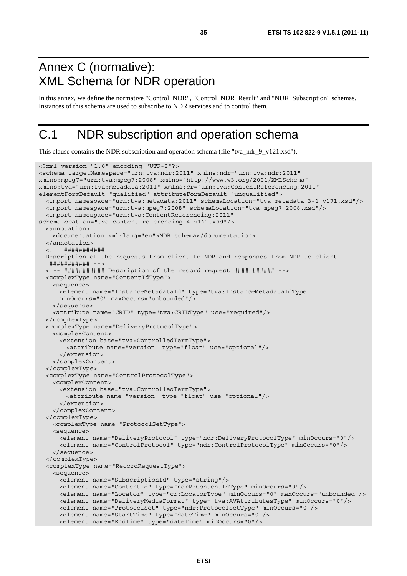# Annex C (normative): XML Schema for NDR operation

In this annex, we define the normative "Control\_NDR", "Control\_NDR\_Result" and "NDR\_Subscription" schemas. Instances of this schema are used to subscribe to NDR services and to control them.

# C.1 NDR subscription and operation schema

This clause contains the NDR subscription and operation schema (file "tva\_ndr\_9\_v121.xsd").

```
<?xml version="1.0" encoding="UTF-8"?> 
<schema targetNamespace="urn:tva:ndr:2011" xmlns:ndr="urn:tva:ndr:2011" 
xmlns:mpeg7="urn:tva:mpeg7:2008" xmlns="http://www.w3.org/2001/XMLSchema" 
xmlns:tva="urn:tva:metadata:2011" xmlns:cr="urn:tva:ContentReferencing:2011" 
elementFormDefault="qualified" attributeFormDefault="unqualified"> 
  <import namespace="urn:tva:metadata:2011" schemaLocation="tva_metadata_3-1_v171.xsd"/> 
  <import namespace="urn:tva:mpeg7:2008" schemaLocation="tva_mpeg7_2008.xsd"/> 
   <import namespace="urn:tva:ContentReferencing:2011" 
schemaLocation="tva_content_referencing_4_v161.xsd"/> 
   <annotation> 
    <documentation xml:lang="en">NDR schema</documentation> 
   </annotation> 
   <!-- ########### 
  Description of the requests from client to NDR and responses from NDR to client 
   ########### --> 
   <!-- ########### Description of the record request ########### --> 
   <complexType name="ContentIdType"> 
    <sequence> 
      <element name="InstanceMetadataId" type="tva:InstanceMetadataIdType" 
      minOccurs="0" maxOccurs="unbounded"/> 
    </sequence> 
    <attribute name="CRID" type="tva:CRIDType" use="required"/> 
   </complexType> 
   <complexType name="DeliveryProtocolType"> 
    <complexContent> 
      <extension base="tva:ControlledTermType"> 
        <attribute name="version" type="float" use="optional"/> 
       </extension> 
    </complexContent> 
   </complexType> 
   <complexType name="ControlProtocolType"> 
    <complexContent> 
      <extension base="tva:ControlledTermType"> 
         <attribute name="version" type="float" use="optional"/> 
       </extension> 
     </complexContent> 
   </complexType> 
    <complexType name="ProtocolSetType"> 
    <sequence> 
      <element name="DeliveryProtocol" type="ndr:DeliveryProtocolType" minOccurs="0"/> 
       <element name="ControlProtocol" type="ndr:ControlProtocolType" minOccurs="0"/> 
     </sequence> 
   </complexType> 
   <complexType name="RecordRequestType"> 
     <sequence> 
      <element name="SubscriptionId" type="string"/> 
       <element name="ContentId" type="ndrR:ContentIdType" minOccurs="0"/> 
      <element name="Locator" type="cr:LocatorType" minOccurs="0" maxOccurs="unbounded"/> 
      <element name="DeliveryMediaFormat" type="tva:AVAttributesType" minOccurs="0"/> 
      <element name="ProtocolSet" type="ndr:ProtocolSetType" minOccurs="0"/> 
      <element name="StartTime" type="dateTime" minOccurs="0"/> 
       <element name="EndTime" type="dateTime" minOccurs="0"/>
```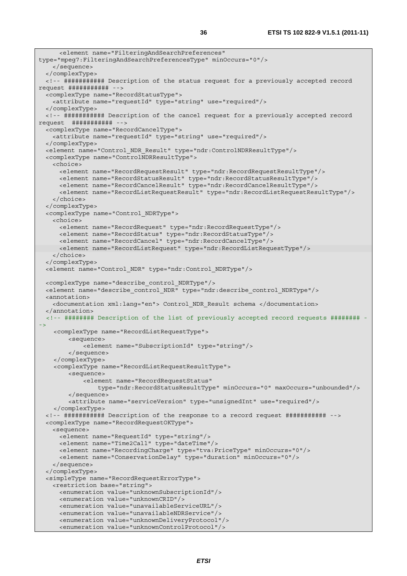```
 <element name="FilteringAndSearchPreferences" 
type="mpeg7:FilteringAndSearchPreferencesType" minOccurs="0"/> 
    </sequence> 
  </complexType> 
  <!-- ########### Description of the status request for a previously accepted record 
request ########### --> 
  <complexType name="RecordStatusType"> 
    <attribute name="requestId" type="string" use="required"/> 
  </complexType> 
  <!-- ########### Description of the cancel request for a previously accepted record 
request ########### --> 
  <complexType name="RecordCancelType"> 
    <attribute name="requestId" type="string" use="required"/> 
  </complexType> 
  <element name="Control_NDR_Result" type="ndr:ControlNDRResultType"/> 
  <complexType name="ControlNDRResultType"> 
    <choice> 
      <element name="RecordRequestResult" type="ndr:RecordRequestResultType"/> 
      <element name="RecordStatusResult" type="ndr:RecordStatusResultType"/> 
      <element name="RecordCancelResult" type="ndr:RecordCancelResultType"/> 
      <element name="RecordListRequestResult" type="ndr:RecordListRequestResultType"/> 
    </choice> 
   </complexType> 
  <complexType name="Control_NDRType"> 
    <choice> 
      <element name="RecordRequest" type="ndr:RecordRequestType"/> 
      <element name="RecordStatus" type="ndr:RecordStatusType"/> 
      <element name="RecordCancel" type="ndr:RecordCancelType"/> 
      <element name="RecordListRequest" type="ndr:RecordListRequestType"/> 
    </choice> 
   </complexType> 
  <element name="Control_NDR" type="ndr:Control_NDRType"/> 
  <complexType name="describe_control_NDRType"/> 
  <element name="describe_control_NDR" type="ndr:describe_control_NDRType"/> 
  <annotation> 
    <documentation xml:lang="en"> Control_NDR_Result schema </documentation> 
   </annotation> 
   <!-- ######## Description of the list of previously accepted record requests ######## -
->
     <complexType name="RecordListRequestType"> 
         <sequence> 
             <element name="SubscriptionId" type="string"/> 
         </sequence> 
     </complexType> 
     <complexType name="RecordListRequestResultType"> 
         <sequence> 
             <element name="RecordRequestStatus" 
                 type="ndr:RecordStatusResultType" minOccurs="0" maxOccurs="unbounded"/> 
         </sequence> 
         <attribute name="serviceVersion" type="unsignedInt" use="required"/> 
     </complexType> 
  <!-- ########### Description of the response to a record request ########### --> 
  <complexType name="RecordRequestOKType"> 
    <sequence> 
      <element name="RequestId" type="string"/> 
      <element name="Time2Call" type="dateTime"/> 
      <element name="RecordingCharge" type="tva:PriceType" minOccurs="0"/> 
      <element name="ConservationDelay" type="duration" minOccurs="0"/> 
    </sequence> 
   </complexType> 
  <simpleType name="RecordRequestErrorType"> 
    <restriction base="string"> 
      <enumeration value="unknownSubscriptionId"/> 
      <enumeration value="unknownCRID"/> 
      <enumeration value="unavailableServiceURL"/> 
      <enumeration value="unavailableNDRService"/> 
      <enumeration value="unknownDeliveryProtocol"/> 
      <enumeration value="unknownControlProtocol"/>
```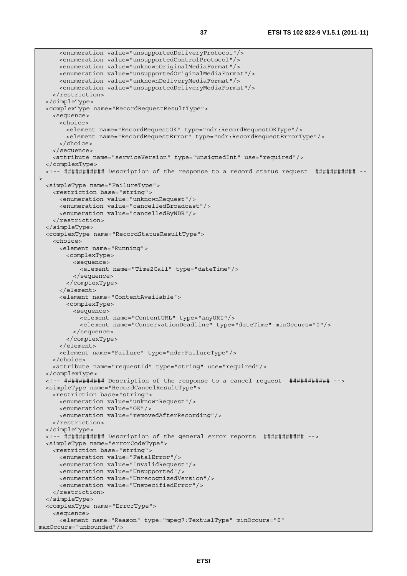```
 <enumeration value="unsupportedDeliveryProtocol"/> 
      <enumeration value="unsupportedControlProtocol"/> 
      <enumeration value="unknownOriginalMediaFormat"/> 
      <enumeration value="unsupportedOriginalMediaFormat"/> 
      <enumeration value="unknownDeliveryMediaFormat"/> 
       <enumeration value="unsupportedDeliveryMediaFormat"/> 
    </restriction> 
  </simpleType> 
  <complexType name="RecordRequestResultType"> 
    <sequence> 
      <choice> 
         <element name="RecordRequestOK" type="ndr:RecordRequestOKType"/> 
         <element name="RecordRequestError" type="ndr:RecordRequestErrorType"/> 
      </choice> 
    </sequence> 
     <attribute name="serviceVersion" type="unsignedInt" use="required"/> 
   </complexType> 
   <!-- ########### Description of the response to a record status request ########### --
\overline{\phantom{a}} <simpleType name="FailureType"> 
    <restriction base="string"> 
      <enumeration value="unknownRequest"/> 
      <enumeration value="cancelledBroadcast"/> 
      <enumeration value="cancelledByNDR"/> 
    </restriction> 
   </simpleType> 
   <complexType name="RecordStatusResultType"> 
     <choice> 
      <element name="Running"> 
        <complexType> 
          <sequence> 
            <element name="Time2Call" type="dateTime"/> 
           </sequence> 
        </complexType> 
      </element> 
       <element name="ContentAvailable"> 
         <complexType> 
          <sequence> 
             <element name="ContentURL" type="anyURI"/> 
             <element name="ConservationDeadline" type="dateTime" minOccurs="0"/> 
          </sequence> 
         </complexType> 
       </element> 
       <element name="Failure" type="ndr:FailureType"/> 
    </choice> 
    <attribute name="requestId" type="string" use="required"/> 
   </complexType> 
  <!-- ########### Description of the response to a cancel request ########### --> 
  <simpleType name="RecordCancelResultType"> 
    <restriction base="string"> 
      <enumeration value="unknownRequest"/> 
      <enumeration value="OK"/> 
      <enumeration value="removedAfterRecording"/> 
     </restriction> 
   </simpleType> 
   <!-- ########### Description of the general error reports ########### --> 
  <simpleType name="errorCodeType"> 
    <restriction base="string"> 
      <enumeration value="FatalError"/> 
      <enumeration value="InvalidRequest"/> 
      <enumeration value="Unsupported"/> 
      <enumeration value="UnrecognizedVersion"/> 
      <enumeration value="UnspecifiedError"/> 
    </restriction> 
   </simpleType> 
   <complexType name="ErrorType"> 
     <sequence> 
      <element name="Reason" type="mpeg7:TextualType" minOccurs="0" 
maxOccurs="unbounded"/>
```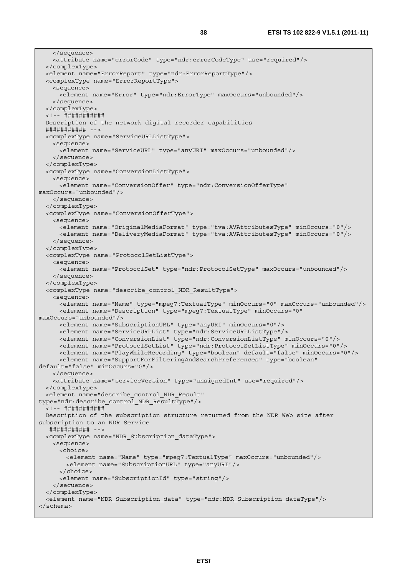```
 </sequence> 
     <attribute name="errorCode" type="ndr:errorCodeType" use="required"/> 
   </complexType> 
   <element name="ErrorReport" type="ndr:ErrorReportType"/> 
   <complexType name="ErrorReportType"> 
     <sequence> 
      <element name="Error" type="ndr:ErrorType" maxOccurs="unbounded"/> 
     </sequence> 
   </complexType> 
   <!-- ########### 
  Description of the network digital recorder capabilities 
   ########### --> 
   <complexType name="ServiceURLListType"> 
    <sequence> 
      <element name="ServiceURL" type="anyURI" maxOccurs="unbounded"/> 
     </sequence> 
   </complexType> 
   <complexType name="ConversionListType"> 
     <sequence> 
      <element name="ConversionOffer" type="ndr:ConversionOfferType" 
maxOccurs="unbounded"/> 
     </sequence> 
   </complexType> 
   <complexType name="ConversionOfferType"> 
     <sequence> 
      <element name="OriginalMediaFormat" type="tva:AVAttributesType" minOccurs="0"/> 
       <element name="DeliveryMediaFormat" type="tva:AVAttributesType" minOccurs="0"/> 
     </sequence> 
   </complexType> 
   <complexType name="ProtocolSetListType"> 
    <sequence> 
      <element name="ProtocolSet" type="ndr:ProtocolSetType" maxOccurs="unbounded"/> 
     </sequence> 
   </complexType> 
   <complexType name="describe_control_NDR_ResultType"> 
     <sequence> 
      <element name="Name" type="mpeg7:TextualType" minOccurs="0" maxOccurs="unbounded"/> 
      <element name="Description" type="mpeg7:TextualType" minOccurs="0" 
maxOccurs="unbounded"/> 
      <element name="SubscriptionURL" type="anyURI" minOccurs="0"/> 
      <element name="ServiceURLList" type="ndr:ServiceURLListType"/> 
      <element name="ConversionList" type="ndr:ConversionListType" minOccurs="0"/> 
      <element name="ProtocolSetList" type="ndr:ProtocolSetListType" minOccurs="0"/> 
      <element name="PlayWhileRecording" type="boolean" default="false" minOccurs="0"/> 
      <element name="SupportForFilteringAndSearchPreferences" type="boolean" 
default="false" minOccurs="0"/> 
     </sequence> 
     <attribute name="serviceVersion" type="unsignedInt" use="required"/> 
   </complexType> 
   <element name="describe_control_NDR_Result" 
type="ndr:describe_control_NDR_ResultType"/> 
   <!-- ########### 
  Description of the subscription structure returned from the NDR Web site after 
subscription to an NDR Service 
   ########### --> 
   <complexType name="NDR_Subscription_dataType"> 
    <sequence> 
      <choice> 
        <element name="Name" type="mpeg7:TextualType" maxOccurs="unbounded"/> 
         <element name="SubscriptionURL" type="anyURI"/> 
       </choice> 
      <element name="SubscriptionId" type="string"/> 
     </sequence> 
   </complexType> 
   <element name="NDR_Subscription_data" type="ndr:NDR_Subscription_dataType"/> 
</schema>
```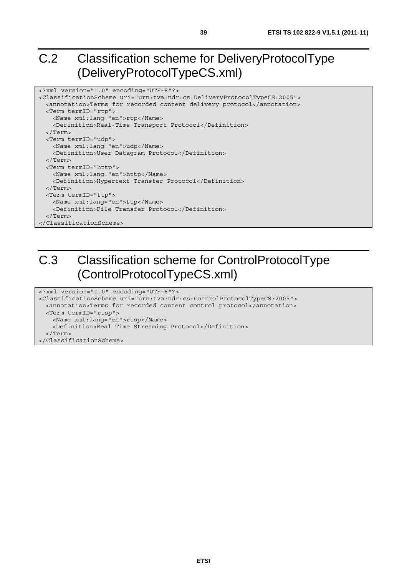# C.2 Classification scheme for DeliveryProtocolType (DeliveryProtocolTypeCS.xml)

```
<?xml version="1.0" encoding="UTF-8"?> 
<ClassificationScheme uri="urn:tva:ndr:cs:DeliveryProtocolTypeCS:2005"> 
  <annotation>Terms for recorded content delivery protocol</annotation> 
  <Term termID="rtp"> 
    <Name xml:lang="en">rtp</Name> 
    <Definition>Real-Time Transport Protocol</Definition> 
   </Term> 
  <Term termID="udp"> 
    <Name xml:lang="en">udp</Name> 
     <Definition>User Datagram Protocol</Definition> 
  </Term> 
  <Term termID="http"> 
    <Name xml:lang="en">http</Name> 
    <Definition>Hypertext Transfer Protocol</Definition> 
  </Term> 
  <Term termID="ftp"> 
    <Name xml:lang="en">ftp</Name> 
    <Definition>File Transfer Protocol</Definition> 
   </Term> 
</ClassificationScheme>
```
# C.3 Classification scheme for ControlProtocolType (ControlProtocolTypeCS.xml)

```
<?xml version="1.0" encoding="UTF-8"?> 
<ClassificationScheme uri="urn:tva:ndr:cs:ControlProtocolTypeCS:2005"> 
  <annotation>Terms for recorded content control protocol</annotation> 
  <Term termID="rtsp"> 
    <Name xml:lang="en">rtsp</Name> 
    <Definition>Real Time Streaming Protocol</Definition> 
   </Term> 
</ClassificationScheme>
```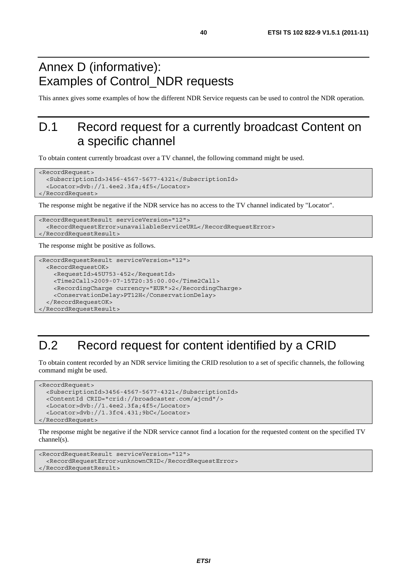# Annex D (informative): Examples of Control\_NDR requests

This annex gives some examples of how the different NDR Service requests can be used to control the NDR operation.

# D.1 Record request for a currently broadcast Content on a specific channel

To obtain content currently broadcast over a TV channel, the following command might be used.

```
<RecordRequest> 
   <SubscriptionId>3456-4567-5677-4321</SubscriptionId> 
   <Locator>dvb://1.4ee2.3fa;4f5</Locator> 
</RecordRequest>
```
The response might be negative if the NDR service has no access to the TV channel indicated by "Locator".

```
<RecordRequestResult serviceVersion="12"> 
   <RecordRequestError>unavailableServiceURL</RecordRequestError> 
</RecordRequestResult>
```
The response might be positive as follows.

```
<RecordRequestResult serviceVersion="12"> 
  <RecordRequestOK> 
     <RequestId>45U753-452</RequestId> 
     <Time2Call>2009-07-15T20:35:00.00</Time2Call> 
     <RecordingCharge currency="EUR">2</RecordingCharge> 
     <ConservationDelay>PT12H</ConservationDelay> 
   </RecordRequestOK> 
</RecordRequestResult>
```
# D.2 Record request for content identified by a CRID

To obtain content recorded by an NDR service limiting the CRID resolution to a set of specific channels, the following command might be used.

```
<RecordRequest> 
   <SubscriptionId>3456-4567-5677-4321</SubscriptionId> 
   <ContentId CRID="crid://broadcaster.com/ajcnd"/> 
   <Locator>dvb://1.4ee2.3fa;4f5</Locator> 
   <Locator>dvb://1.3fc4.431;9bC</Locator> 
</RecordRequest>
```
The response might be negative if the NDR service cannot find a location for the requested content on the specified TV channel(s).

*ETSI* 

```
<RecordRequestResult serviceVersion="12"> 
   <RecordRequestError>unknownCRID</RecordRequestError> 
</RecordRequestResult>
```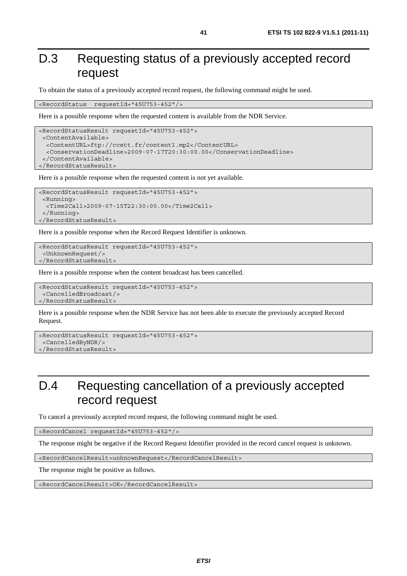# D.3 Requesting status of a previously accepted record request

To obtain the status of a previously accepted record request, the following command might be used.

<RecordStatus requestId="45U753-452"/>

Here is a possible response when the requested content is available from the NDR Service.

```
<RecordStatusResult requestId="45U753-452"> 
  <ContentAvailable> 
   <ContentURL>ftp://ccett.fr/content1.mp2</ContentURL> 
   <ConservationDeadline>2009-07-17T20:30:00.00</ConservationDeadline> 
  </ContentAvailable> 
</RecordStatusResult>
```
Here is a possible response when the requested content is not yet available.

```
<RecordStatusResult requestId="45U753-452"> 
  <Running> 
   <Time2Call>2009-07-15T22:30:00.00</Time2Call> 
  </Running> 
</RecordStatusResult>
```
Here is a possible response when the Record Request Identifier is unknown.

```
<RecordStatusResult requestId="45U753-452"> 
  <UnknownRequest/> 
</RecordStatusResult>
```
Here is a possible response when the content broadcast has been cancelled.

```
<RecordStatusResult requestId="45U753-452"> 
  <CancelledBroadcast/> 
</RecordStatusResult>
```
Here is a possible response when the NDR Service has not been able to execute the previously accepted Record Request.

```
<RecordStatusResult requestId="45U753-452"> 
  <CancelledByNDR/> 
</RecordStatusResult>
```
# D.4 Requesting cancellation of a previously accepted record request

To cancel a previously accepted record request, the following command might be used.

<RecordCancel requestId="45U753-452"/>

The response might be negative if the Record Request Identifier provided in the record cancel request is unknown.

<RecordCancelResult>unknownRequest</RecordCancelResult>

The response might be positive as follows.

<RecordCancelResult>OK</RecordCancelResult>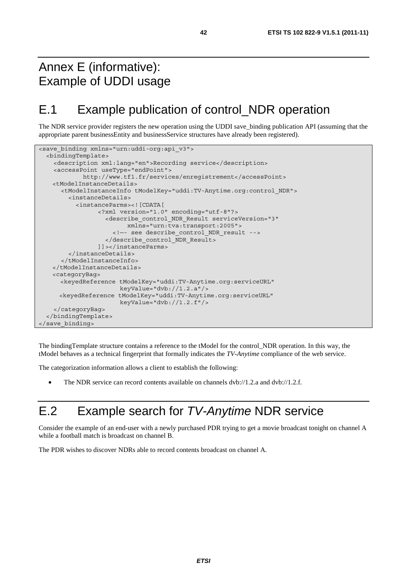# Annex E (informative): Example of UDDI usage

# E.1 Example publication of control\_NDR operation

The NDR service provider registers the new operation using the UDDI save\_binding publication API (assuming that the appropriate parent businessEntity and businessService structures have already been registered).

```
<save binding xmlns="urn:uddi-org:api v3">
   <bindingTemplate> 
     <description xml:lang="en">Recording service</description> 
     <accessPoint useType="endPoint"> 
             http://www.tf1.fr/services/enregistrement</accessPoint> 
    <tModelInstanceDetails> 
       <tModelInstanceInfo tModelKey="uddi:TV-Anytime.org:control_NDR"> 
         <instanceDetails> 
           <instanceParms><![CDATA[ 
                  <?xml version="1.0" encoding="utf-8"?> 
                    <describe_control_NDR_Result serviceVersion="3" 
                          xmlns="urn:tva:transport:2005"> 
                      <!—- see describe_control_NDR_result --> 
                    </describe_control_NDR_Result> 
                  ]]></instanceParms> 
         </instanceDetails> 
       </tModelInstanceInfo> 
    </tModelInstanceDetails> 
    <categoryBag> 
       <keyedReference tModelKey="uddi:TV-Anytime.org:serviceURL" 
                        keyValue="dvb://1.2.a"/> 
       <keyedReference tModelKey="uddi:TV-Anytime.org:serviceURL" 
                        keyValue="dvb://1.2.f"/> 
     </categoryBag> 
   </bindingTemplate> 
</save_binding>
```
The bindingTemplate structure contains a reference to the tModel for the control\_NDR operation. In this way, the tModel behaves as a technical fingerprint that formally indicates the *TV-Anytime* compliance of the web service.

The categorization information allows a client to establish the following:

• The NDR service can record contents available on channels dvb://1.2.a and dvb://1.2.f.

# E.2 Example search for *TV-Anytime* NDR service

Consider the example of an end-user with a newly purchased PDR trying to get a movie broadcast tonight on channel A while a football match is broadcast on channel B.

The PDR wishes to discover NDRs able to record contents broadcast on channel A.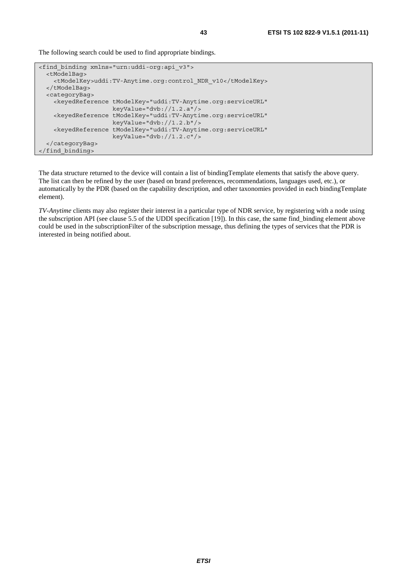The following search could be used to find appropriate bindings.

```
<find_binding xmlns="urn:uddi-org:api_v3"> 
   <tModelBag> 
     <tModelKey>uddi:TV-Anytime.org:control_NDR_v10</tModelKey> 
   </tModelBag> 
   <categoryBag> 
     <keyedReference tModelKey="uddi:TV-Anytime.org:serviceURL" 
                      keyValue="dvb://1.2.a"/> 
     <keyedReference tModelKey="uddi:TV-Anytime.org:serviceURL" 
                      keyValue="dvb://1.2.b"/> 
     <keyedReference tModelKey="uddi:TV-Anytime.org:serviceURL" 
                      keyValue="dvb://1.2.c"/> 
   </categoryBag> 
</find_binding>
```
The data structure returned to the device will contain a list of bindingTemplate elements that satisfy the above query. The list can then be refined by the user (based on brand preferences, recommendations, languages used, etc.), or automatically by the PDR (based on the capability description, and other taxonomies provided in each bindingTemplate element).

*TV-Anytime* clients may also register their interest in a particular type of NDR service, by registering with a node using the subscription API (see clause 5.5 of the UDDI specification [19]). In this case, the same find\_binding element above could be used in the subscriptionFilter of the subscription message, thus defining the types of services that the PDR is interested in being notified about.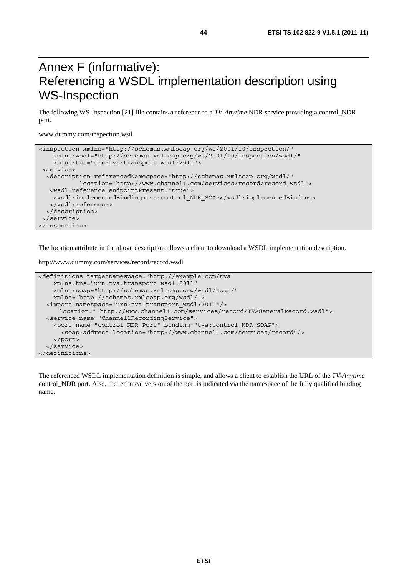# Annex F (informative): Referencing a WSDL implementation description using WS-Inspection

The following WS-Inspection [21] file contains a reference to a *TV-Anytime* NDR service providing a control\_NDR port.

www.dummy.com/inspection.wsil

```
<inspection xmlns="http://schemas.xmlsoap.org/ws/2001/10/inspection/" 
    xmlns:wsdl="http://schemas.xmlsoap.org/ws/2001/10/inspection/wsdl/" 
    xmlns:tns="urn:tva:transport_wsdl:2011"> 
 <service> 
   <description referencedNamespace="http://schemas.xmlsoap.org/wsdl/" 
            location="http://www.channel1.com/services/record/record.wsdl"> 
   <wsdl:reference endpointPresent="true"> 
    <wsdl:implementedBinding>tva:control_NDR_SOAP</wsdl:implementedBinding> 
    </wsdl:reference> 
  </description> 
  </service> 
</inspection>
```
The location attribute in the above description allows a client to download a WSDL implementation description.

http://www.dummy.com/services/record/record.wsdl

```
<definitions targetNamespace="http://example.com/tva" 
     xmlns:tns="urn:tva:transport_wsdl:2011" 
    xmlns:soap="http://schemas.xmlsoap.org/wsdl/soap/" 
     xmlns="http://schemas.xmlsoap.org/wsdl/"> 
   <import namespace="urn:tva:transport_wsdl:2010"/> 
      location=" http://www.channel1.com/services/record/TVAGeneralRecord.wsdl"> 
   <service name="Channel1RecordingService"> 
     <port name="control_NDR_Port" binding="tva:control_NDR_SOAP"> 
       <soap:address location="http://www.channel1.com/services/record"/> 
     </port> 
   </service> 
</definitions>
```
The referenced WSDL implementation definition is simple, and allows a client to establish the URL of the *TV-Anytime* control NDR port. Also, the technical version of the port is indicated via the namespace of the fully qualified binding name.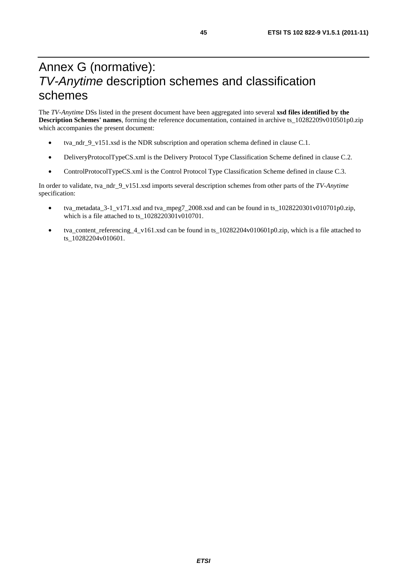# Annex G (normative): *TV-Anytime* description schemes and classification schemes

The *TV-Anytime* DSs listed in the present document have been aggregated into several **xsd files identified by the Description Schemes' names**, forming the reference documentation, contained in archive ts\_10282209v010501p0.zip which accompanies the present document:

- tva\_ndr\_9\_v151.xsd is the NDR subscription and operation schema defined in clause C.1.
- DeliveryProtocolTypeCS.xml is the Delivery Protocol Type Classification Scheme defined in clause C.2.
- ControlProtocolTypeCS.xml is the Control Protocol Type Classification Scheme defined in clause C.3.

In order to validate, tva\_ndr\_9\_v151.xsd imports several description schemes from other parts of the *TV-Anytime*  specification:

- tva\_metadata\_3-1\_v171.xsd and tva\_mpeg7\_2008.xsd and can be found in ts\_1028220301v010701p0.zip, which is a file attached to ts  $1028220301v010701$ .
- tva\_content\_referencing\_4\_v161.xsd can be found in ts\_10282204v010601p0.zip, which is a file attached to ts\_10282204v010601.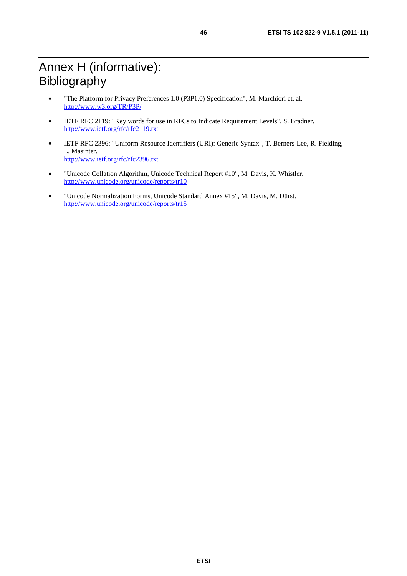- "The Platform for Privacy Preferences 1.0 (P3P1.0) Specification", M. Marchiori et. al. <http://www.w3.org/TR/P3P/>
- IETF RFC 2119: "Key words for use in RFCs to Indicate Requirement Levels", S. Bradner. <http://www.ietf.org/rfc/rfc2119.txt>
- IETF RFC 2396: "Uniform Resource Identifiers (URI): Generic Syntax", T. Berners-Lee, R. Fielding, L. Masinter. <http://www.ietf.org/rfc/rfc2396.txt>
- "Unicode Collation Algorithm, Unicode Technical Report #10", M. Davis, K. Whistler. <http://www.unicode.org/unicode/reports/tr10>
- "Unicode Normalization Forms, Unicode Standard Annex #15", M. Davis, M. Dürst. <http://www.unicode.org/unicode/reports/tr15>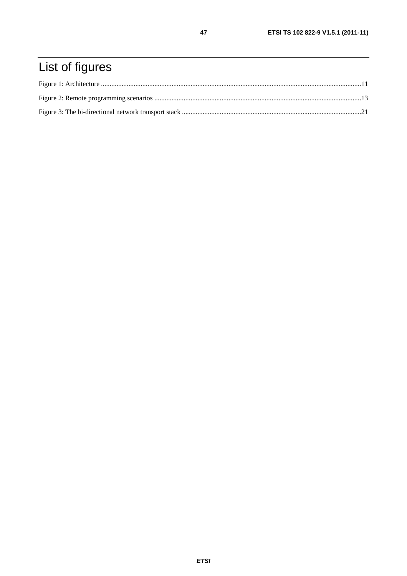# List of figures